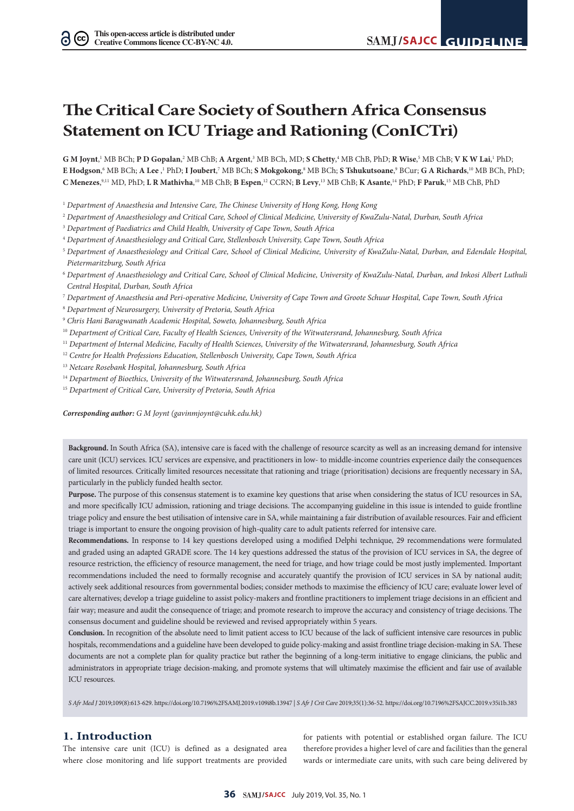# **The Critical Care Society of Southern Africa Consensus Statement on ICU Triage and Rationing (ConICTri)**

G M Joynt,<sup>1</sup> MB BCh; **P D Gopalan**,<sup>2</sup> MB ChB; **A Argent**,<sup>3</sup> MB BCh, MD; **S Chetty**,<sup>4</sup> MB ChB, PhD; **R Wise**,<sup>5</sup> MB ChB; **V K W Lai**,<sup>1</sup> PhD; **E Hodgson,**6 MB BCh; **A Lee** ,<sup>1</sup> PhD; **I Joubert**,7 MB BCh; **S Mokgokong,**8 MB BCh; **S Tshukutsoane,**9 BCur; **G A Richards**,<sup>10</sup> MB BCh, PhD; **C Menezes**, 9,11 MD, PhD; **L R Mathivha**, 10 MB ChB; **B Espen**, 12 CCRN; **B Levy**, 13 MB ChB; **K Asante**, 14 PhD; **F Paruk**, 15 MB ChB, PhD

1  *Department of Anaesthesia and Intensive Care, The Chinese University of Hong Kong, Hong Kong*

2  *Department of Anaesthesiology and Critical Care, School of Clinical Medicine, University of KwaZulu-Natal, Durban, South Africa*

3  *Department of Paediatrics and Child Health, University of Cape Town, South Africa*

<sup>4</sup> *Department of Anaesthesiology and Critical Care, Stellenbosch University, Cape Town, South Africa*

- <sup>5</sup> *Department of Anaesthesiology and Critical Care, School of Clinical Medicine, University of KwaZulu-Natal, Durban, and Edendale Hospital, Pietermaritzburg, South Africa*
- <sup>6</sup> *Department of Anaesthesiology and Critical Care, School of Clinical Medicine, University of KwaZulu-Natal, Durban, and Inkosi Albert Luthuli Central Hospital, Durban, South Africa*
- 7  *Department of Anaesthesia and Peri-operative Medicine, University of Cape Town and Groote Schuur Hospital, Cape Town, South Africa*
- 8  *Department of Neurosurgery, University of Pretoria, South Africa*
- <sup>9</sup> *Chris Hani Baragwanath Academic Hospital, Soweto, Johannesburg, South Africa*
- <sup>10</sup> *Department of Critical Care, Faculty of Health Sciences, University of the Witwatersrand, Johannesburg, South Africa*
- <sup>11</sup> *Department of Internal Medicine, Faculty of Health Sciences, University of the Witwatersrand, Johannesburg, South Africa*
- <sup>12</sup> *Centre for Health Professions Education, Stellenbosch University, Cape Town, South Africa*
- <sup>13</sup> *Netcare Rosebank Hospital, Johannesburg, South Africa*
- <sup>14</sup> *Department of Bioethics, University of the Witwatersrand, Johannesburg, South Africa*
- <sup>15</sup> *Department of Critical Care, University of Pretoria, South Africa*

*Corresponding author: G M Joynt [\(gavinmjoynt@cuhk.edu.hk\)](mailto:gavinmjoynt@cuhk.edu.hk)*

**Background.** In South Africa (SA), intensive care is faced with the challenge of resource scarcity as well as an increasing demand for intensive care unit (ICU) services. ICU services are expensive, and practitioners in low- to middle-income countries experience daily the consequences of limited resources. Critically limited resources necessitate that rationing and triage (prioritisation) decisions are frequently necessary in SA, particularly in the publicly funded health sector.

**Purpose.** The purpose of this consensus statement is to examine key questions that arise when considering the status of ICU resources in SA, and more specifically ICU admission, rationing and triage decisions. The accompanying guideline in this issue is intended to guide frontline triage policy and ensure the best utilisation of intensive care in SA, while maintaining a fair distribution of available resources. Fair and efficient triage is important to ensure the ongoing provision of high-quality care to adult patients referred for intensive care.

**Recommendations.** In response to 14 key questions developed using a modified Delphi technique, 29 recommendations were formulated and graded using an adapted GRADE score. The 14 key questions addressed the status of the provision of ICU services in SA, the degree of resource restriction, the efficiency of resource management, the need for triage, and how triage could be most justly implemented. Important recommendations included the need to formally recognise and accurately quantify the provision of ICU services in SA by national audit; actively seek additional resources from governmental bodies; consider methods to maximise the efficiency of ICU care; evaluate lower level of care alternatives; develop a triage guideline to assist policy-makers and frontline practitioners to implement triage decisions in an efficient and fair way; measure and audit the consequence of triage; and promote research to improve the accuracy and consistency of triage decisions. The consensus document and guideline should be reviewed and revised appropriately within 5 years.

**Conclusion.** In recognition of the absolute need to limit patient access to ICU because of the lack of sufficient intensive care resources in public hospitals, recommendations and a guideline have been developed to guide policy-making and assist frontline triage decision-making in SA. These documents are not a complete plan for quality practice but rather the beginning of a long-term initiative to engage clinicians, the public and administrators in appropriate triage decision-making, and promote systems that will ultimately maximise the efficient and fair use of available ICU resources.

*S Afr Med J* 2019;109(8):613-629. https://doi.org/10.7196%2FSAMJ.2019.v109i8b.13947 | *S Afr J Crit Care* 2019;35(1):36-52. https://doi.org/10.7196%2FSAJCC.2019.v35i1b.383

# **1. Introduction**

The intensive care unit (ICU) is defined as a designated area where close monitoring and life support treatments are provided for patients with potential or established organ failure. The ICU therefore provides a higher level of care and facilities than the general wards or intermediate care units, with such care being delivered by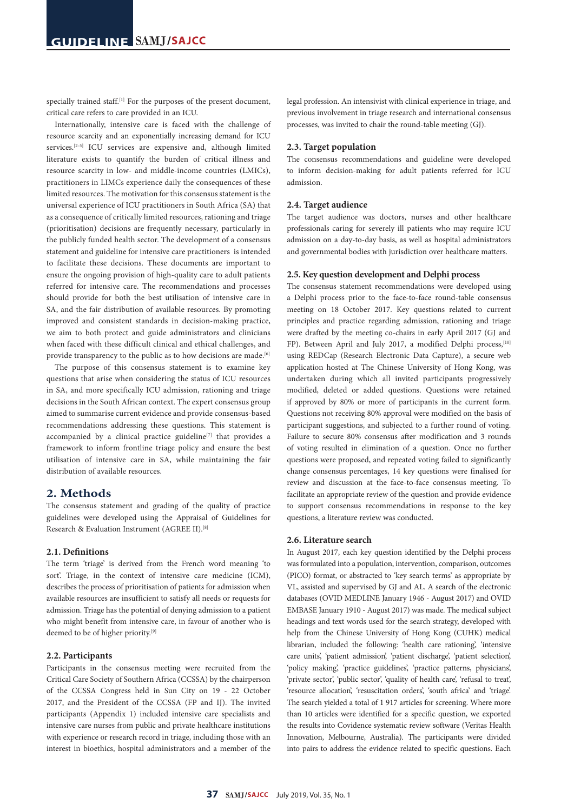specially trained staff.<sup>[1]</sup> For the purposes of the present document, critical care refers to care provided in an ICU.

Internationally, intensive care is faced with the challenge of resource scarcity and an exponentially increasing demand for ICU services.<sup>[2-5]</sup> ICU services are expensive and, although limited literature exists to quantify the burden of critical illness and resource scarcity in low- and middle-income countries (LMICs), practitioners in LIMCs experience daily the consequences of these limited resources. The motivation for this consensus statement is the universal experience of ICU practitioners in South Africa (SA) that as a consequence of critically limited resources, rationing and triage (prioritisation) decisions are frequently necessary, particularly in the publicly funded health sector. The development of a consensus statement and guideline for intensive care practitioners is intended to facilitate these decisions. These documents are important to ensure the ongoing provision of high-quality care to adult patients referred for intensive care. The recommendations and processes should provide for both the best utilisation of intensive care in SA, and the fair distribution of available resources. By promoting improved and consistent standards in decision-making practice, we aim to both protect and guide administrators and clinicians when faced with these difficult clinical and ethical challenges, and provide transparency to the public as to how decisions are made.<sup>[6]</sup>

The purpose of this consensus statement is to examine key questions that arise when considering the status of ICU resources in SA, and more specifically ICU admission, rationing and triage decisions in the South African context. The expert consensus group aimed to summarise current evidence and provide consensus-based recommendations addressing these questions. This statement is accompanied by a clinical practice guideline $[7]$  that provides a framework to inform frontline triage policy and ensure the best utilisation of intensive care in SA, while maintaining the fair distribution of available resources.

# **2. Methods**

The consensus statement and grading of the quality of practice guidelines were developed using the Appraisal of Guidelines for Research & Evaluation Instrument (AGREE II).[8]

## **2.1. Definitions**

The term 'triage' is derived from the French word meaning 'to sort'. Triage, in the context of intensive care medicine (ICM), describes the process of prioritisation of patients for admission when available resources are insufficient to satisfy all needs or requests for admission. Triage has the potential of denying admission to a patient who might benefit from intensive care, in favour of another who is deemed to be of higher priority.[9]

## **2.2. Participants**

Participants in the consensus meeting were recruited from the Critical Care Society of Southern Africa (CCSSA) by the chairperson of the CCSSA Congress held in Sun City on 19 - 22 October 2017, and the President of the CCSSA (FP and IJ). The invited participants (Appendix 1) included intensive care specialists and intensive care nurses from public and private healthcare institutions with experience or research record in triage, including those with an interest in bioethics, hospital administrators and a member of the

legal profession. An intensivist with clinical experience in triage, and previous involvement in triage research and international consensus processes, was invited to chair the round-table meeting (GJ).

#### **2.3. Target population**

The consensus recommendations and guideline were developed to inform decision-making for adult patients referred for ICU admission.

## **2.4. Target audience**

The target audience was doctors, nurses and other healthcare professionals caring for severely ill patients who may require ICU admission on a day-to-day basis, as well as hospital administrators and governmental bodies with jurisdiction over healthcare matters.

### **2.5. Key question development and Delphi process**

The consensus statement recommendations were developed using a Delphi process prior to the face-to-face round-table consensus meeting on 18 October 2017. Key questions related to current principles and practice regarding admission, rationing and triage were drafted by the meeting co-chairs in early April 2017 (GJ and FP). Between April and July 2017, a modified Delphi process,<sup>[10]</sup> using REDCap (Research Electronic Data Capture), a secure web application hosted at The Chinese University of Hong Kong, was undertaken during which all invited participants progressively modified, deleted or added questions. Questions were retained if approved by 80% or more of participants in the current form. Questions not receiving 80% approval were modified on the basis of participant suggestions, and subjected to a further round of voting. Failure to secure 80% consensus after modification and 3 rounds of voting resulted in elimination of a question. Once no further questions were proposed, and repeated voting failed to significantly change consensus percentages, 14 key questions were finalised for review and discussion at the face-to-face consensus meeting. To facilitate an appropriate review of the question and provide evidence to support consensus recommendations in response to the key questions, a literature review was conducted.

#### **2.6. Literature search**

In August 2017, each key question identified by the Delphi process was formulated into a population, intervention, comparison, outcomes (PICO) format, or abstracted to 'key search terms' as appropriate by VL, assisted and supervised by GJ and AL. A search of the electronic databases (OVID MEDLINE January 1946 - August 2017) and OVID EMBASE January 1910 - August 2017) was made. The medical subject headings and text words used for the search strategy, developed with help from the Chinese University of Hong Kong (CUHK) medical librarian, included the following: 'health care rationing', 'intensive care units', 'patient admission', 'patient discharge', 'patient selection', 'policy making', 'practice guidelines', 'practice patterns, physicians', 'private sector', 'public sector', 'quality of health care', 'refusal to treat', 'resource allocation', 'resuscitation orders', 'south africa' and 'triage'. The search yielded a total of 1 917 articles for screening. Where more than 10 articles were identified for a specific question, we exported the results into Covidence systematic review software (Veritas Health Innovation, Melbourne, Australia). The participants were divided into pairs to address the evidence related to specific questions. Each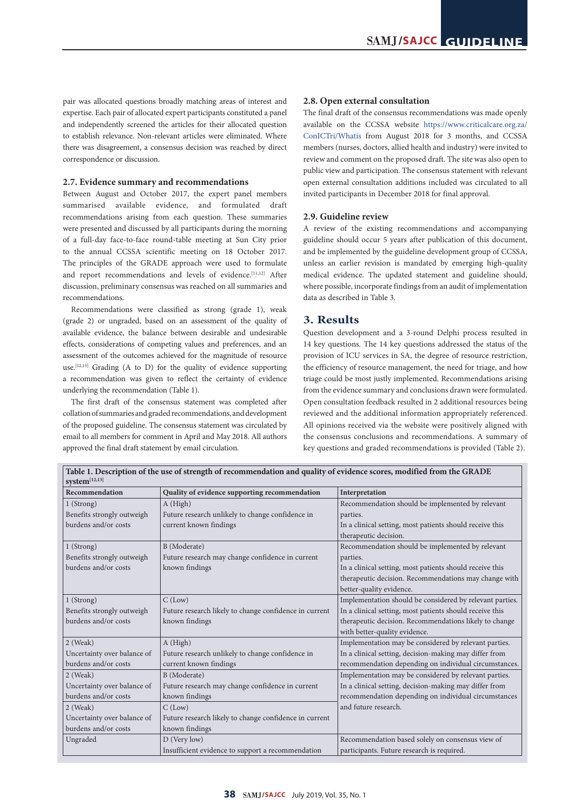pair was allocated questions broadly matching areas of interest and expertise. Each pair of allocated expert participants constituted a panel and independently screened the articles for their allocated question to establish relevance. Non-relevant articles were eliminated. Where there was disagreement, a consensus decision was reached by direct correspondence or discussion.

## **2.7. Evidence summary and recommendations**

Between August and October 2017, the expert panel members summarised available evidence, and formulated draft recommendations arising from each question. These summaries were presented and discussed by all participants during the morning of a full-day face-to-face round-table meeting at Sun City prior to the annual CCSSA scientific meeting on 18 October 2017. The principles of the GRADE approach were used to formulate and report recommendations and levels of evidence.<sup>[11,12]</sup> After discussion, preliminary consensus was reached on all summaries and recommendations.

Recommendations were classified as strong (grade 1), weak (grade 2) or ungraded, based on an assessment of the quality of available evidence, the balance between desirable and undesirable effects, considerations of competing values and preferences, and an assessment of the outcomes achieved for the magnitude of resource use.<sup>[12,13]</sup> Grading (A to D) for the quality of evidence supporting a recommendation was given to reflect the certainty of evidence underlying the recommendation (Table 1).

The first draft of the consensus statement was completed after collation of summaries and graded recommendations, and development of the proposed guideline. The consensus statement was circulated by email to all members for comment in April and May 2018. All authors approved the final draft statement by email circulation.

## **2.8. Open external consultation**

The final draft of the consensus recommendations was made openly available on the CCSSA website [https://www.criticalcare.org.za/](https://www.criticalcare.org.za/ConICTri/Whatis) [ConICTri/Whatis](https://www.criticalcare.org.za/ConICTri/Whatis) from August 2018 for 3 months, and CCSSA members (nurses, doctors, allied health and industry) were invited to review and comment on the proposed draft. The site was also open to public view and participation. The consensus statement with relevant open external consultation additions included was circulated to all invited participants in December 2018 for final approval.

## **2.9. Guideline review**

A review of the existing recommendations and accompanying guideline should occur 5 years after publication of this document, and be implemented by the guideline development group of CCSSA, unless an earlier revision is mandated by emerging high-quality medical evidence. The updated statement and guideline should, where possible, incorporate findings from an audit of implementation data as described in Table 3.

# **3. Results**

Question development and a 3-round Delphi process resulted in 14 key questions. The 14 key questions addressed the status of the provision of ICU services in SA, the degree of resource restriction, the efficiency of resource management, the need for triage, and how triage could be most justly implemented. Recommendations arising from the evidence summary and conclusions drawn were formulated. Open consultation feedback resulted in 2 additional resources being reviewed and the additional information appropriately referenced. All opinions received via the website were positively aligned with the consensus conclusions and recommendations. A summary of key questions and graded recommendations is provided (Table 2).

| Table 1. Description of the use of strength of recommendation and quality of evidence scores, modified from the GRADE<br>system[12,13] |                                                        |                                                          |  |
|----------------------------------------------------------------------------------------------------------------------------------------|--------------------------------------------------------|----------------------------------------------------------|--|
| Recommendation                                                                                                                         | Quality of evidence supporting recommendation          | Interpretation                                           |  |
| 1 (Strong)                                                                                                                             | A (High)                                               | Recommendation should be implemented by relevant         |  |
| Benefits strongly outweigh                                                                                                             | Future research unlikely to change confidence in       | parties.                                                 |  |
| burdens and/or costs                                                                                                                   | current known findings                                 | In a clinical setting, most patients should receive this |  |
|                                                                                                                                        |                                                        | therapeutic decision.                                    |  |
| 1 (Strong)                                                                                                                             | B (Moderate)                                           | Recommendation should be implemented by relevant         |  |
| Benefits strongly outweigh                                                                                                             | Future research may change confidence in current       | parties.                                                 |  |
| burdens and/or costs                                                                                                                   | known findings                                         | In a clinical setting, most patients should receive this |  |
|                                                                                                                                        |                                                        | therapeutic decision. Recommendations may change with    |  |
|                                                                                                                                        |                                                        | better-quality evidence.                                 |  |
| 1 (Strong)                                                                                                                             | $C$ (Low)                                              | Implementation should be considered by relevant parties. |  |
| Benefits strongly outweigh                                                                                                             | Future research likely to change confidence in current | In a clinical setting, most patients should receive this |  |
| burdens and/or costs                                                                                                                   | known findings                                         | therapeutic decision. Recommendations likely to change   |  |
|                                                                                                                                        |                                                        | with better-quality evidence.                            |  |
| 2 (Weak)                                                                                                                               | A (High)                                               | Implementation may be considered by relevant parties.    |  |
| Uncertainty over balance of                                                                                                            | Future research unlikely to change confidence in       | In a clinical setting, decision-making may differ from   |  |
| burdens and/or costs                                                                                                                   | current known findings                                 | recommendation depending on individual circumstances.    |  |
| 2 (Weak)                                                                                                                               | B (Moderate)                                           | Implementation may be considered by relevant parties.    |  |
| Uncertainty over balance of                                                                                                            | Future research may change confidence in current       | In a clinical setting, decision-making may differ from   |  |
| burdens and/or costs                                                                                                                   | known findings                                         | recommendation depending on individual circumstances     |  |
| 2 (Weak)                                                                                                                               | $C$ (Low)                                              | and future research.                                     |  |
| Uncertainty over balance of                                                                                                            | Future research likely to change confidence in current |                                                          |  |
| burdens and/or costs                                                                                                                   | known findings                                         |                                                          |  |
| Ungraded                                                                                                                               | D (Very low)                                           | Recommendation based solely on consensus view of         |  |
|                                                                                                                                        | Insufficient evidence to support a recommendation      | participants. Future research is required.               |  |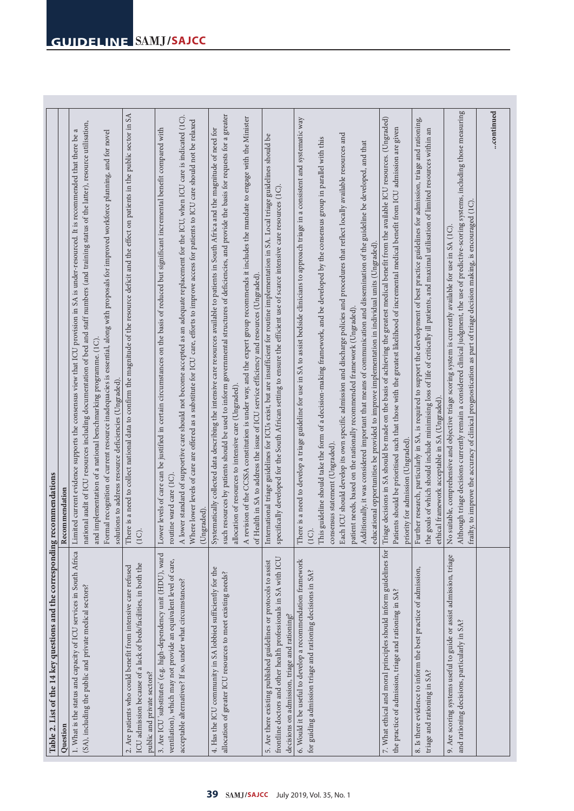п

| Table 2. List of the 14 key questions and the corresponding r                                                                                                                                    | ecommendations                                                                                                                                                                                                                                                                                                                                                                                                                                                                                                                                                                                                                                                                                                                                                                          |
|--------------------------------------------------------------------------------------------------------------------------------------------------------------------------------------------------|-----------------------------------------------------------------------------------------------------------------------------------------------------------------------------------------------------------------------------------------------------------------------------------------------------------------------------------------------------------------------------------------------------------------------------------------------------------------------------------------------------------------------------------------------------------------------------------------------------------------------------------------------------------------------------------------------------------------------------------------------------------------------------------------|
| Question                                                                                                                                                                                         | Recommendation                                                                                                                                                                                                                                                                                                                                                                                                                                                                                                                                                                                                                                                                                                                                                                          |
| 1. What is the status and capacity of ICU services in South Africa<br>(SA), including the public and private medical sectors?                                                                    | national audit of ICU resources including documentation of bed and staff numbers (and training status of the latter), resource utilisation,<br>Limited current evidence supports the consensus view that ICU provision in SA is under-resourced. It is recommended that there be a<br>Formal recognition of current resource inadequacies is essential, along with proposals for improved workforce planning, and for novel<br>and implementation of a national benchmarking programme. (1C)<br>solutions to address resource deficiencies (Ungraded).                                                                                                                                                                                                                                  |
| ICU admission because of a lack of beds/facilities, in both the<br>2. Are patients who could benefit from intensive care refused<br>public and private sectors?                                  | There is a need to collect national data to confirm the magnitude of the resource deficit and the effect on patients in the public sector in SA<br>(1C).                                                                                                                                                                                                                                                                                                                                                                                                                                                                                                                                                                                                                                |
| 3. Are ICU 'substitutes' (e.g. high-dependency unit (HDU), ward<br>ventilation), which may not provide an equivalent level of care,<br>acceptable alternatives? If so, under what circumstances? | A lower standard of supportive care should not become accepted as an adequate replacement for the ICU, when ICU care is indicated (1C)<br>Where lower levels of care are offered as a substitute for ICU care, efforts to improve access for patients to ICU care should not be relaxed<br>Lower levels of care can be justified in certain circumstances on the basis of reduced but significant incremental benefit compared with<br>routine ward care (1C)<br>(Ungraded)                                                                                                                                                                                                                                                                                                             |
| 4. Has the ICU community in SA lobbied sufficiently for the<br>allocation of greater ICU resources to meet existing needs?                                                                       | such resources by patients should be used to inform governmental structures of deficiencies, and provide the basis for requests for a greater<br>A revision of the CCSSA constitution is under way, and the expert group recommends it includes the mandate to engage with the Minister<br>Systematically collected data describing the intensive care resources available to patients in South Africa and the magnitude of need for<br>Health in SA to address the issue of ICU service efficiency and resources (Ungraded)<br>allocation of resources to intensive care (Ungraded)<br>$\sigma$                                                                                                                                                                                        |
| frontline doctors and other health professionals in SA with ICU<br>5. Are there existing published guidelines or protocols to assist<br>decisions on admission, triage and rationing?            | International triage guidelines for ICUs exist, but are insufficient for routine implementation in SA. Local triage guidelines should be<br>specifically developed for the South African setting to ensure the efficient use of scarce intensive care resources (1C)                                                                                                                                                                                                                                                                                                                                                                                                                                                                                                                    |
| 6. Would it be useful to develop a recommendation framework<br>for guiding admission triage and rationing decisions in SA?                                                                       | There is a need to develop a triage guideline for use in SA to assist bedside clinicians to approach triage in a consistent and systematic way<br>Each ICU should develop its own specific admission and discharge policies and procedures that reflect locally available resources and<br>This guideline should take the form of a decision-making framework, and be developed by the consensus group in parallel with this<br>Additionally, it was considered important that means of communication and dissemination of the guideline be developed, and that<br>educational opportunities be provided to improve implementation in individual units (Ungraded)<br>patient needs, based on the nationally recommended framework (Ungraded)<br>consensus statement (Ungraded).<br>(1C) |
| 7. What ethical and moral principles should inform guidelines for<br>the practice of admission, triage and rationing in SA?                                                                      | Triage decisions in SA should be made on the basis of achieving the greatest medical benefit from the available ICU resources. (Ungraded)<br>Patients should be prioritised such that those with the greatest likelihood of incremental medical benefit from ICU admission are given<br>priority for admission (Ungraded).                                                                                                                                                                                                                                                                                                                                                                                                                                                              |
| 8. Is there evidence to inform the best practice of admission,<br>triage and rationing in SA?                                                                                                    | Further research, particularly in SA, is required to support the development of best practice guidelines for admission, triage and rationing,<br>the goals of which should include minimising loss of life of critically ill patients, and maximal utilisation of limited resources within an<br>ethical framework acceptable in SA (Ungraded).                                                                                                                                                                                                                                                                                                                                                                                                                                         |
| 9. Are scoring systems useful to guide or assist admission, triage<br>and rationing decisions, particularly in SA?                                                                               | Although triage decisions currently remain a considered clinical judgment, the use of predictive-scoring systems, including those measuring<br>continued<br>frailty, to improve the accuracy of clinical prognostication as part of triage decision making, is encouraged (1C)<br>No suitable, comprehensive and objective triage scoring system is currently available for use in SA (1C).                                                                                                                                                                                                                                                                                                                                                                                             |
|                                                                                                                                                                                                  |                                                                                                                                                                                                                                                                                                                                                                                                                                                                                                                                                                                                                                                                                                                                                                                         |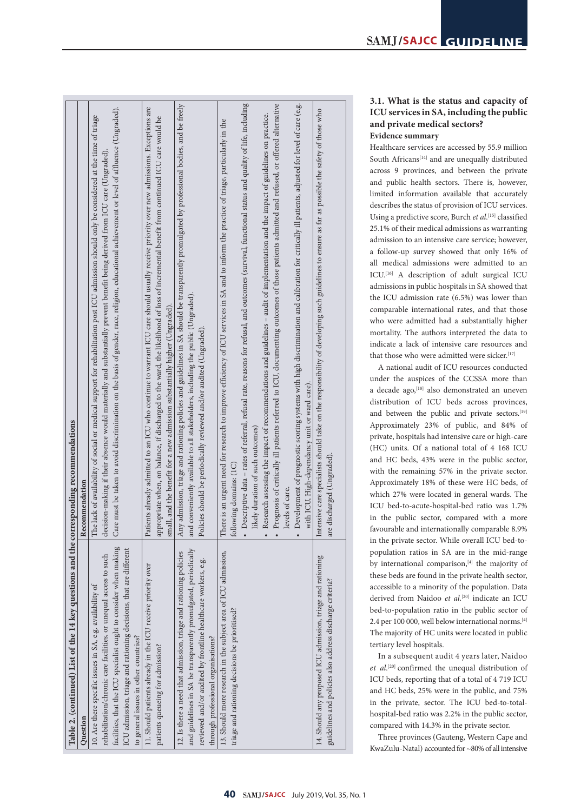| Table 2. (continued) List of the 14 key questions and the corresponding recommendations                                                                                                                                                                                                                           |                                                                                                                                                                                                                                                                                                                                                                                                                                                                                                                                                                                                                                                                                                                                                                                                                                                                          |
|-------------------------------------------------------------------------------------------------------------------------------------------------------------------------------------------------------------------------------------------------------------------------------------------------------------------|--------------------------------------------------------------------------------------------------------------------------------------------------------------------------------------------------------------------------------------------------------------------------------------------------------------------------------------------------------------------------------------------------------------------------------------------------------------------------------------------------------------------------------------------------------------------------------------------------------------------------------------------------------------------------------------------------------------------------------------------------------------------------------------------------------------------------------------------------------------------------|
| Question                                                                                                                                                                                                                                                                                                          | Recommendation                                                                                                                                                                                                                                                                                                                                                                                                                                                                                                                                                                                                                                                                                                                                                                                                                                                           |
| facilities, that the ICU specialist ought to consider when making<br>ICU admission, triage and rationing decisions, that are different<br>rehabilitation/chronic care facilities, or unequal access to such<br>10. Are there specific issues in SA, e.g. availability of<br>to general issues in other countries? | Care must be taken to avoid discrimination on the basis of gender, race, religion, educational achievement or level of affluence (Ungraded).<br>The lack of availability of social or medical support for rehabilitation post ICU admission should only be considered at the time of triage<br>decision-making if their absence would materially and substantially prevent benefit being derived from ICU care (Ungraded).                                                                                                                                                                                                                                                                                                                                                                                                                                               |
| 11. Should patients already in the ICU receive priority over<br>patients queueing for admission?                                                                                                                                                                                                                  | Patients already admitted to an ICU who continue to warrant ICU care should usually receive priority over new admissions. Exceptions are<br>appropriate when, on balance, if discharged to the ward, the likelihood of loss of incremental benefit from continued ICU care would be<br>small, and the benefit for a new admission substantially higher (Ungraded).                                                                                                                                                                                                                                                                                                                                                                                                                                                                                                       |
| and guidelines in SA be transparently promulgated, periodically<br>12. Is there a need that admission, triage and rationing policies<br>reviewed and/or audited by frontline healthcare workers, e.g.<br>through professional organisations?                                                                      | Any admission, triage and rationing policies and guidelines in SA should be transparently promulgated by professional bodies, and be freely<br>and conveniently available to all stakeholders, including the public (Ungraded).<br>Policies should be periodically reviewed and/or audited (Ungraded).                                                                                                                                                                                                                                                                                                                                                                                                                                                                                                                                                                   |
| 13. Should more research in the subject area of ICU admission,<br>triage and rationing decisions be prioritised?                                                                                                                                                                                                  | Descriptive data – rates of referral, refusal rate, reasons for refusal, and outcomes (survival, functional status and quality of life, including<br>Prognosis of critically ill patients referred to ICU, documenting outcomes of those patients admitted and refused, or offered alternative<br>Development of prognostic scoring systems with high discrimination and calibration for critically ill patients, adjusted for level of care (e.g.<br>Research assessing the impact of recommendations and guidelines – audit of implementation and the impact of guidelines on practice.<br>There is an urgent need for research to improve efficiency of ICU services in SA and to inform the practice of triage, particularly in the<br>with ICU, High-dependancy unit or ward care)<br>ikely duration of such outcomes)<br>following domains: (1C)<br>evels of care. |
| 14. Should any proposed ICU admission, triage and rationing<br>guidelines and policies also address discharge criteria?                                                                                                                                                                                           | Intensive care specialists should take on the responsibility of developing such guidelines to ensure as far as possible the safety of those who<br>are discharged (Ungraded).                                                                                                                                                                                                                                                                                                                                                                                                                                                                                                                                                                                                                                                                                            |

# **3.1. What is the status and capacity of ICU services in SA, including the public and private medical sectors? Evidence summary**

Healthcare services are accessed by 55.9 million South Africans<sup>[14]</sup> and are unequally distributed across 9 provinces, and between the private and public health sectors. There is, however, limited information available that accurately describes the status of provision of ICU services. Using a predictive score, Burch *et al*. [15] classified 25.1% of their medical admissions as warranting admission to an intensive care service; however, a follow-up survey showed that only 16% of all medical admissions were admitted to an ICU.[16] A description of adult surgical ICU admissions in public hospitals in SA showed that the ICU admission rate (6.5%) was lower than comparable international rates, and that those who were admitted had a substantially higher mortality. The authors interpreted the data to indicate a lack of intensive care resources and that those who were admitted were sicker<sup>[17]</sup>

A national audit of ICU resources conducted under the auspices of the CCSSA more than a decade ago,<sup>[18]</sup> also demonstrated an uneven distribution of ICU beds across provinces, and between the public and private sectors.<sup>[19]</sup> Approximately 23% of public, and 84% of private, hospitals had intensive care or high-care (HC) units. Of a national total of 4 168 ICU and HC beds, 43% were in the public sector, with the remaining 57% in the private sector. Approximately 18% of these were HC beds, of which 27% were located in general wards. The ICU bed-to-acute-hospital-bed ratio was 1.7% in the public sector, compared with a more favourable and internationally comparable 8.9% in the private sector. While overall ICU bed-topopulation ratios in SA are in the mid-range by international comparison,<sup>[4]</sup> the majority of these beds are found in the private health sector, accessible to a minority of the population. Data derived from Naidoo *et al*. [20] indicate an ICU bed-to-population ratio in the public sector of 2.4 per 100 000, well below international norms.[4] The majority of HC units were located in public tertiary level hospitals.

In a subsequent audit 4 years later, Naidoo et al.<sup>[20]</sup> confirmed the unequal distribution of ICU beds, reporting that of a total of 4 719 ICU and HC beds, 25% were in the public, and 75% in the private, sector. The ICU bed-to-totalhospital-bed ratio was 2.2% in the public sector, compared with 14.3% in the private sector.

Three provinces (Gauteng, Western Cape and KwaZulu-Natal) accounted for ~80% of all intensive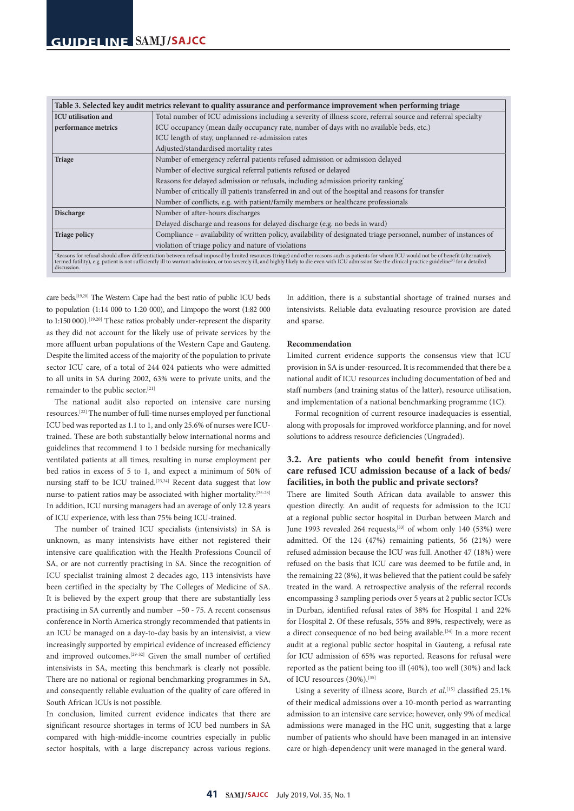| Table 3. Selected key audit metrics relevant to quality assurance and performance improvement when performing triage                                                                                                                                                                                                                                                                                                                 |                                                                                                                  |  |
|--------------------------------------------------------------------------------------------------------------------------------------------------------------------------------------------------------------------------------------------------------------------------------------------------------------------------------------------------------------------------------------------------------------------------------------|------------------------------------------------------------------------------------------------------------------|--|
| <b>ICU</b> utilisation and                                                                                                                                                                                                                                                                                                                                                                                                           | Total number of ICU admissions including a severity of illness score, referral source and referral specialty     |  |
| performance metrics                                                                                                                                                                                                                                                                                                                                                                                                                  | ICU occupancy (mean daily occupancy rate, number of days with no available beds, etc.)                           |  |
|                                                                                                                                                                                                                                                                                                                                                                                                                                      | ICU length of stay, unplanned re-admission rates                                                                 |  |
|                                                                                                                                                                                                                                                                                                                                                                                                                                      | Adjusted/standardised mortality rates                                                                            |  |
| Triage                                                                                                                                                                                                                                                                                                                                                                                                                               | Number of emergency referral patients refused admission or admission delayed                                     |  |
|                                                                                                                                                                                                                                                                                                                                                                                                                                      | Number of elective surgical referral patients refused or delayed                                                 |  |
|                                                                                                                                                                                                                                                                                                                                                                                                                                      | Reasons for delayed admission or refusals, including admission priority ranking'                                 |  |
|                                                                                                                                                                                                                                                                                                                                                                                                                                      | Number of critically ill patients transferred in and out of the hospital and reasons for transfer                |  |
|                                                                                                                                                                                                                                                                                                                                                                                                                                      | Number of conflicts, e.g. with patient/family members or healthcare professionals                                |  |
| <b>Discharge</b>                                                                                                                                                                                                                                                                                                                                                                                                                     | Number of after-hours discharges                                                                                 |  |
|                                                                                                                                                                                                                                                                                                                                                                                                                                      | Delayed discharge and reasons for delayed discharge (e.g. no beds in ward)                                       |  |
| <b>Triage policy</b>                                                                                                                                                                                                                                                                                                                                                                                                                 | Compliance – availability of written policy, availability of designated triage personnel, number of instances of |  |
|                                                                                                                                                                                                                                                                                                                                                                                                                                      | violation of triage policy and nature of violations                                                              |  |
| Reasons for refusal should allow differentiation between refusal imposed by limited resources (triage) and other reasons such as patients for whom ICU would not be of benefit (alternatively<br>termed futility), e.g. patient is not sufficiently ill to warrant admission, or too severely ill, and highly likely to die even with ICU admission See the clinical practice guideline <sup>[7]</sup> for a detailed<br>discussion. |                                                                                                                  |  |

care beds.[19,20] The Western Cape had the best ratio of public ICU beds to population (1:14 000 to 1:20 000), and Limpopo the worst (1:82 000 to 1:150 000).<sup>[19,20]</sup> These ratios probably under-represent the disparity as they did not account for the likely use of private services by the more affluent urban populations of the Western Cape and Gauteng. Despite the limited access of the majority of the population to private sector ICU care, of a total of 244 024 patients who were admitted to all units in SA during 2002, 63% were to private units, and the remainder to the public sector.[21]

The national audit also reported on intensive care nursing resources.[22] The number of full-time nurses employed per functional ICU bed was reported as 1.1 to 1, and only 25.6% of nurses were ICUtrained. These are both substantially below international norms and guidelines that recommend 1 to 1 bedside nursing for mechanically ventilated patients at all times, resulting in nurse employment per bed ratios in excess of 5 to 1, and expect a minimum of 50% of nursing staff to be ICU trained.[23,24] Recent data suggest that low nurse-to-patient ratios may be associated with higher mortality.[25-28] In addition, ICU nursing managers had an average of only 12.8 years of ICU experience, with less than 75% being ICU-trained.

The number of trained ICU specialists (intensivists) in SA is unknown, as many intensivists have either not registered their intensive care qualification with the Health Professions Council of SA, or are not currently practising in SA. Since the recognition of ICU specialist training almost 2 decades ago, 113 intensivists have been certified in the specialty by The Colleges of Medicine of SA. It is believed by the expert group that there are substantially less practising in SA currently and number  $\sim$  50 - 75. A recent consensus conference in North America strongly recommended that patients in an ICU be managed on a day-to-day basis by an intensivist, a view increasingly supported by empirical evidence of increased efficiency and improved outcomes.[29-32] Given the small number of certified intensivists in SA, meeting this benchmark is clearly not possible. There are no national or regional benchmarking programmes in SA, and consequently reliable evaluation of the quality of care offered in South African ICUs is not possible.

In conclusion, limited current evidence indicates that there are significant resource shortages in terms of ICU bed numbers in SA compared with high-middle-income countries especially in public sector hospitals, with a large discrepancy across various regions.

In addition, there is a substantial shortage of trained nurses and intensivists. Reliable data evaluating resource provision are dated and sparse.

#### **Recommendation**

Limited current evidence supports the consensus view that ICU provision in SA is under-resourced. It is recommended that there be a national audit of ICU resources including documentation of bed and staff numbers (and training status of the latter), resource utilisation, and implementation of a national benchmarking programme (1C).

Formal recognition of current resource inadequacies is essential, along with proposals for improved workforce planning, and for novel solutions to address resource deficiencies (Ungraded).

# **3.2. Are patients who could benefit from intensive care refused ICU admission because of a lack of beds/ facilities, in both the public and private sectors?**

There are limited South African data available to answer this question directly. An audit of requests for admission to the ICU at a regional public sector hospital in Durban between March and June 1993 revealed 264 requests,<sup>[33]</sup> of whom only 140 (53%) were admitted. Of the 124 (47%) remaining patients, 56 (21%) were refused admission because the ICU was full. Another 47 (18%) were refused on the basis that ICU care was deemed to be futile and, in the remaining 22 (8%), it was believed that the patient could be safely treated in the ward. A retrospective analysis of the referral records encompassing 3 sampling periods over 5 years at 2 public sector ICUs in Durban, identified refusal rates of 38% for Hospital 1 and 22% for Hospital 2. Of these refusals, 55% and 89%, respectively, were as a direct consequence of no bed being available.<sup>[34]</sup> In a more recent audit at a regional public sector hospital in Gauteng, a refusal rate for ICU admission of 65% was reported. Reasons for refusal were reported as the patient being too ill (40%), too well (30%) and lack of ICU resources (30%).[35]

Using a severity of illness score, Burch *et al*. [15] classified 25.1% of their medical admissions over a 10-month period as warranting admission to an intensive care service; however, only 9% of medical admissions were managed in the HC unit, suggesting that a large number of patients who should have been managed in an intensive care or high-dependency unit were managed in the general ward.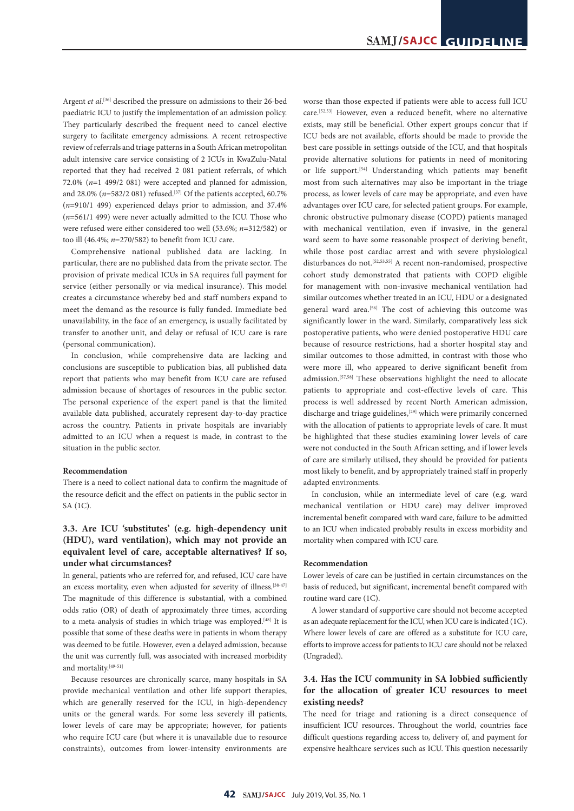Argent *et al.*<sup>[36]</sup> described the pressure on admissions to their 26-bed paediatric ICU to justify the implementation of an admission policy. They particularly described the frequent need to cancel elective surgery to facilitate emergency admissions. A recent retrospective review of referrals and triage patterns in a South African metropolitan adult intensive care service consisting of 2 ICUs in KwaZulu-Natal reported that they had received 2 081 patient referrals, of which 72.0% (*n*=1 499/2 081) were accepted and planned for admission, and 28.0% ( $n=582/2$  081) refused.<sup>[37]</sup> Of the patients accepted, 60.7% (*n*=910/1 499) experienced delays prior to admission, and 37.4% (*n*=561/1 499) were never actually admitted to the ICU. Those who were refused were either considered too well (53.6%; *n*=312/582) or too ill (46.4%; *n*=270/582) to benefit from ICU care.

Comprehensive national published data are lacking. In particular, there are no published data from the private sector. The provision of private medical ICUs in SA requires full payment for service (either personally or via medical insurance). This model creates a circumstance whereby bed and staff numbers expand to meet the demand as the resource is fully funded. Immediate bed unavailability, in the face of an emergency, is usually facilitated by transfer to another unit, and delay or refusal of ICU care is rare (personal communication).

In conclusion, while comprehensive data are lacking and conclusions are susceptible to publication bias, all published data report that patients who may benefit from ICU care are refused admission because of shortages of resources in the public sector. The personal experience of the expert panel is that the limited available data published, accurately represent day-to-day practice across the country. Patients in private hospitals are invariably admitted to an ICU when a request is made, in contrast to the situation in the public sector.

## **Recommendation**

There is a need to collect national data to confirm the magnitude of the resource deficit and the effect on patients in the public sector in SA (1C).

# **3.3. Are ICU 'substitutes' (e.g. high-dependency unit (HDU), ward ventilation), which may not provide an equivalent level of care, acceptable alternatives? If so, under what circumstances?**

In general, patients who are referred for, and refused, ICU care have an excess mortality, even when adjusted for severity of illness.<sup>[38-47]</sup> The magnitude of this difference is substantial, with a combined odds ratio (OR) of death of approximately three times, according to a meta-analysis of studies in which triage was employed.[48] It is possible that some of these deaths were in patients in whom therapy was deemed to be futile. However, even a delayed admission, because the unit was currently full, was associated with increased morbidity and mortality.[49-51]

Because resources are chronically scarce, many hospitals in SA provide mechanical ventilation and other life support therapies, which are generally reserved for the ICU, in high-dependency units or the general wards. For some less severely ill patients, lower levels of care may be appropriate; however, for patients who require ICU care (but where it is unavailable due to resource constraints), outcomes from lower-intensity environments are worse than those expected if patients were able to access full ICU care.[52,53] However, even a reduced benefit, where no alternative exists, may still be beneficial. Other expert groups concur that if ICU beds are not available, efforts should be made to provide the best care possible in settings outside of the ICU, and that hospitals provide alternative solutions for patients in need of monitoring or life support.[54] Understanding which patients may benefit most from such alternatives may also be important in the triage process, as lower levels of care may be appropriate, and even have advantages over ICU care, for selected patient groups. For example, chronic obstructive pulmonary disease (COPD) patients managed with mechanical ventilation, even if invasive, in the general ward seem to have some reasonable prospect of deriving benefit, while those post cardiac arrest and with severe physiological disturbances do not.<sup>[52,53,55]</sup> A recent non-randomised, prospective cohort study demonstrated that patients with COPD eligible for management with non-invasive mechanical ventilation had similar outcomes whether treated in an ICU, HDU or a designated general ward area.<sup>[56]</sup> The cost of achieving this outcome was significantly lower in the ward. Similarly, comparatively less sick postoperative patients, who were denied postoperative HDU care because of resource restrictions, had a shorter hospital stay and similar outcomes to those admitted, in contrast with those who were more ill, who appeared to derive significant benefit from admission.[57,58] These observations highlight the need to allocate patients to appropriate and cost-effective levels of care. This process is well addressed by recent North American admission, discharge and triage guidelines,<sup>[29]</sup> which were primarily concerned with the allocation of patients to appropriate levels of care. It must be highlighted that these studies examining lower levels of care were not conducted in the South African setting, and if lower levels of care are similarly utilised, they should be provided for patients most likely to benefit, and by appropriately trained staff in properly adapted environments.

In conclusion, while an intermediate level of care (e.g. ward mechanical ventilation or HDU care) may deliver improved incremental benefit compared with ward care, failure to be admitted to an ICU when indicated probably results in excess morbidity and mortality when compared with ICU care.

#### **Recommendation**

Lower levels of care can be justified in certain circumstances on the basis of reduced, but significant, incremental benefit compared with routine ward care (1C).

A lower standard of supportive care should not become accepted as an adequate replacement for the ICU, when ICU care is indicated (1C). Where lower levels of care are offered as a substitute for ICU care, efforts to improve access for patients to ICU care should not be relaxed (Ungraded).

# **3.4. Has the ICU community in SA lobbied sufficiently for the allocation of greater ICU resources to meet existing needs?**

The need for triage and rationing is a direct consequence of insufficient ICU resources. Throughout the world, countries face difficult questions regarding access to, delivery of, and payment for expensive healthcare services such as ICU. This question necessarily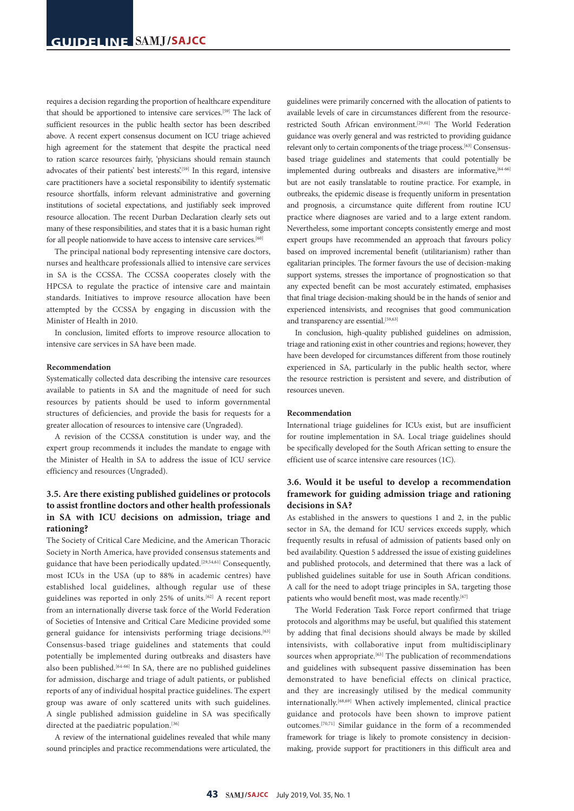requires a decision regarding the proportion of healthcare expenditure that should be apportioned to intensive care services.[59] The lack of sufficient resources in the public health sector has been described above. A recent expert consensus document on ICU triage achieved high agreement for the statement that despite the practical need to ration scarce resources fairly, 'physicians should remain staunch advocates of their patients' best interests'.<sup>[59]</sup> In this regard, intensive care practitioners have a societal responsibility to identify systematic resource shortfalls, inform relevant administrative and governing institutions of societal expectations, and justifiably seek improved resource allocation. The recent Durban Declaration clearly sets out many of these responsibilities, and states that it is a basic human right for all people nationwide to have access to intensive care services.[60]

The principal national body representing intensive care doctors, nurses and healthcare professionals allied to intensive care services in SA is the CCSSA. The CCSSA cooperates closely with the HPCSA to regulate the practice of intensive care and maintain standards. Initiatives to improve resource allocation have been attempted by the CCSSA by engaging in discussion with the Minister of Health in 2010.

In conclusion, limited efforts to improve resource allocation to intensive care services in SA have been made.

#### **Recommendation**

Systematically collected data describing the intensive care resources available to patients in SA and the magnitude of need for such resources by patients should be used to inform governmental structures of deficiencies, and provide the basis for requests for a greater allocation of resources to intensive care (Ungraded).

A revision of the CCSSA constitution is under way, and the expert group recommends it includes the mandate to engage with the Minister of Health in SA to address the issue of ICU service efficiency and resources (Ungraded).

# **3.5. Are there existing published guidelines or protocols to assist frontline doctors and other health professionals in SA with ICU decisions on admission, triage and rationing?**

The Society of Critical Care Medicine, and the American Thoracic Society in North America, have provided consensus statements and guidance that have been periodically updated.[29,54,61] Consequently, most ICUs in the USA (up to 88% in academic centres) have established local guidelines, although regular use of these guidelines was reported in only 25% of units.<sup>[62]</sup> A recent report from an internationally diverse task force of the World Federation of Societies of Intensive and Critical Care Medicine provided some general guidance for intensivists performing triage decisions.<sup>[63]</sup> Consensus-based triage guidelines and statements that could potentially be implemented during outbreaks and disasters have also been published.<sup>[64-66]</sup> In SA, there are no published guidelines for admission, discharge and triage of adult patients, or published reports of any of individual hospital practice guidelines. The expert group was aware of only scattered units with such guidelines. A single published admission guideline in SA was specifically directed at the paediatric population.<sup>[36]</sup>

A review of the international guidelines revealed that while many sound principles and practice recommendations were articulated, the

guidelines were primarily concerned with the allocation of patients to available levels of care in circumstances different from the resourcerestricted South African environment.<sup>[29,61]</sup> The World Federation guidance was overly general and was restricted to providing guidance relevant only to certain components of the triage process.<sup>[63]</sup> Consensusbased triage guidelines and statements that could potentially be implemented during outbreaks and disasters are informative, [64-66] but are not easily translatable to routine practice. For example, in outbreaks, the epidemic disease is frequently uniform in presentation and prognosis, a circumstance quite different from routine ICU practice where diagnoses are varied and to a large extent random. Nevertheless, some important concepts consistently emerge and most expert groups have recommended an approach that favours policy based on improved incremental benefit (utilitarianism) rather than egalitarian principles. The former favours the use of decision-making support systems, stresses the importance of prognostication so that any expected benefit can be most accurately estimated, emphasises that final triage decision-making should be in the hands of senior and experienced intensivists, and recognises that good communication and transparency are essential.<sup>[59,63]</sup>

In conclusion, high-quality published guidelines on admission, triage and rationing exist in other countries and regions; however, they have been developed for circumstances different from those routinely experienced in SA, particularly in the public health sector, where the resource restriction is persistent and severe, and distribution of resources uneven.

#### **Recommendation**

International triage guidelines for ICUs exist, but are insufficient for routine implementation in SA. Local triage guidelines should be specifically developed for the South African setting to ensure the efficient use of scarce intensive care resources (1C).

# **3.6. Would it be useful to develop a recommendation framework for guiding admission triage and rationing decisions in SA?**

As established in the answers to questions 1 and 2, in the public sector in SA, the demand for ICU services exceeds supply, which frequently results in refusal of admission of patients based only on bed availability. Question 5 addressed the issue of existing guidelines and published protocols, and determined that there was a lack of published guidelines suitable for use in South African conditions. A call for the need to adopt triage principles in SA, targeting those patients who would benefit most, was made recently.<sup>[67]</sup>

The World Federation Task Force report confirmed that triage protocols and algorithms may be useful, but qualified this statement by adding that final decisions should always be made by skilled intensivists, with collaborative input from multidisciplinary sources when appropriate.<sup>[63]</sup> The publication of recommendations and guidelines with subsequent passive dissemination has been demonstrated to have beneficial effects on clinical practice, and they are increasingly utilised by the medical community internationally.[68,69] When actively implemented, clinical practice guidance and protocols have been shown to improve patient outcomes.[70,71] Similar guidance in the form of a recommended framework for triage is likely to promote consistency in decisionmaking, provide support for practitioners in this difficult area and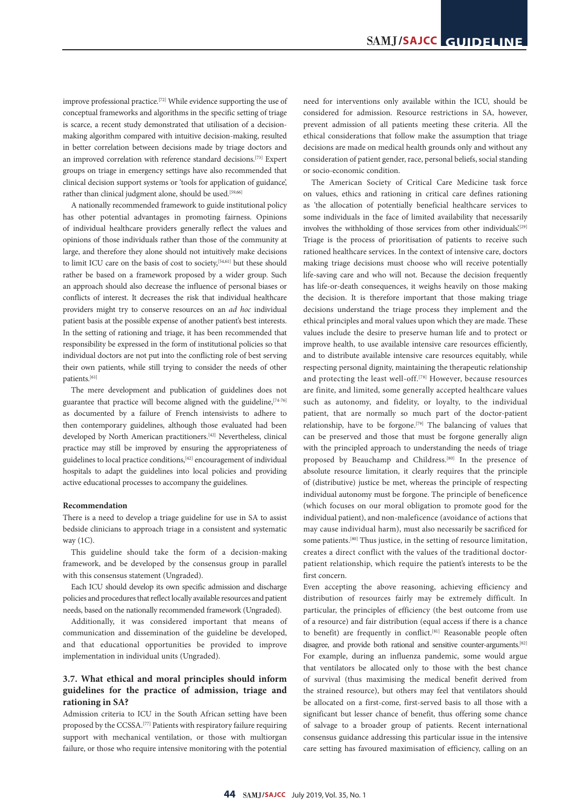improve professional practice.[72] While evidence supporting the use of conceptual frameworks and algorithms in the specific setting of triage is scarce, a recent study demonstrated that utilisation of a decisionmaking algorithm compared with intuitive decision-making, resulted in better correlation between decisions made by triage doctors and an improved correlation with reference standard decisions.[73] Expert groups on triage in emergency settings have also recommended that clinical decision support systems or 'tools for application of guidance', rather than clinical judgment alone, should be used.<sup>[59,66]</sup>

A nationally recommended framework to guide institutional policy has other potential advantages in promoting fairness. Opinions of individual healthcare providers generally reflect the values and opinions of those individuals rather than those of the community at large, and therefore they alone should not intuitively make decisions to limit ICU care on the basis of cost to society,  $[54,61]$  but these should rather be based on a framework proposed by a wider group. Such an approach should also decrease the influence of personal biases or conflicts of interest. It decreases the risk that individual healthcare providers might try to conserve resources on an *ad hoc* individual patient basis at the possible expense of another patient's best interests. In the setting of rationing and triage, it has been recommended that responsibility be expressed in the form of institutional policies so that individual doctors are not put into the conflicting role of best serving their own patients, while still trying to consider the needs of other patients.[61]

The mere development and publication of guidelines does not guarantee that practice will become aligned with the guideline, [74-76] as documented by a failure of French intensivists to adhere to then contemporary guidelines, although those evaluated had been developed by North American practitioners.<sup>[42]</sup> Nevertheless, clinical practice may still be improved by ensuring the appropriateness of guidelines to local practice conditions,[42] encouragement of individual hospitals to adapt the guidelines into local policies and providing active educational processes to accompany the guidelines.

#### **Recommendation**

There is a need to develop a triage guideline for use in SA to assist bedside clinicians to approach triage in a consistent and systematic way (1C).

This guideline should take the form of a decision-making framework, and be developed by the consensus group in parallel with this consensus statement (Ungraded).

Each ICU should develop its own specific admission and discharge policies and procedures that reflect locally available resources and patient needs, based on the nationally recommended framework (Ungraded).

Additionally, it was considered important that means of communication and dissemination of the guideline be developed, and that educational opportunities be provided to improve implementation in individual units (Ungraded).

# **3.7. What ethical and moral principles should inform guidelines for the practice of admission, triage and rationing in SA?**

Admission criteria to ICU in the South African setting have been proposed by the CCSSA.[77] Patients with respiratory failure requiring support with mechanical ventilation, or those with multiorgan failure, or those who require intensive monitoring with the potential

need for interventions only available within the ICU, should be considered for admission. Resource restrictions in SA, however, prevent admission of all patients meeting these criteria. All the ethical considerations that follow make the assumption that triage decisions are made on medical health grounds only and without any consideration of patient gender, race, personal beliefs, social standing or socio-economic condition.

The American Society of Critical Care Medicine task force on values, ethics and rationing in critical care defines rationing as 'the allocation of potentially beneficial healthcare services to some individuals in the face of limited availability that necessarily involves the withholding of those services from other individuals.<sup>[29]</sup> Triage is the process of prioritisation of patients to receive such rationed healthcare services. In the context of intensive care, doctors making triage decisions must choose who will receive potentially life-saving care and who will not. Because the decision frequently has life-or-death consequences, it weighs heavily on those making the decision. It is therefore important that those making triage decisions understand the triage process they implement and the ethical principles and moral values upon which they are made. These values include the desire to preserve human life and to protect or improve health, to use available intensive care resources efficiently, and to distribute available intensive care resources equitably, while respecting personal dignity, maintaining the therapeutic relationship and protecting the least well-off.[78] However, because resources are finite, and limited, some generally accepted healthcare values such as autonomy, and fidelity, or loyalty, to the individual patient, that are normally so much part of the doctor-patient relationship, have to be forgone.[79] The balancing of values that can be preserved and those that must be forgone generally align with the principled approach to understanding the needs of triage proposed by Beauchamp and Childress.[80] In the presence of absolute resource limitation, it clearly requires that the principle of (distributive) justice be met, whereas the principle of respecting individual autonomy must be forgone. The principle of beneficence (which focuses on our moral obligation to promote good for the individual patient), and non-maleficence (avoidance of actions that may cause individual harm), must also necessarily be sacrificed for some patients.<sup>[80]</sup> Thus justice, in the setting of resource limitation, creates a direct conflict with the values of the traditional doctorpatient relationship, which require the patient's interests to be the first concern.

Even accepting the above reasoning, achieving efficiency and distribution of resources fairly may be extremely difficult. In particular, the principles of efficiency (the best outcome from use of a resource) and fair distribution (equal access if there is a chance to benefit) are frequently in conflict.<sup>[81]</sup> Reasonable people often disagree, and provide both rational and sensitive counter-arguments.<sup>[82]</sup> For example, during an influenza pandemic, some would argue that ventilators be allocated only to those with the best chance of survival (thus maximising the medical benefit derived from the strained resource), but others may feel that ventilators should be allocated on a first-come, first-served basis to all those with a significant but lesser chance of benefit, thus offering some chance of salvage to a broader group of patients. Recent international consensus guidance addressing this particular issue in the intensive care setting has favoured maximisation of efficiency, calling on an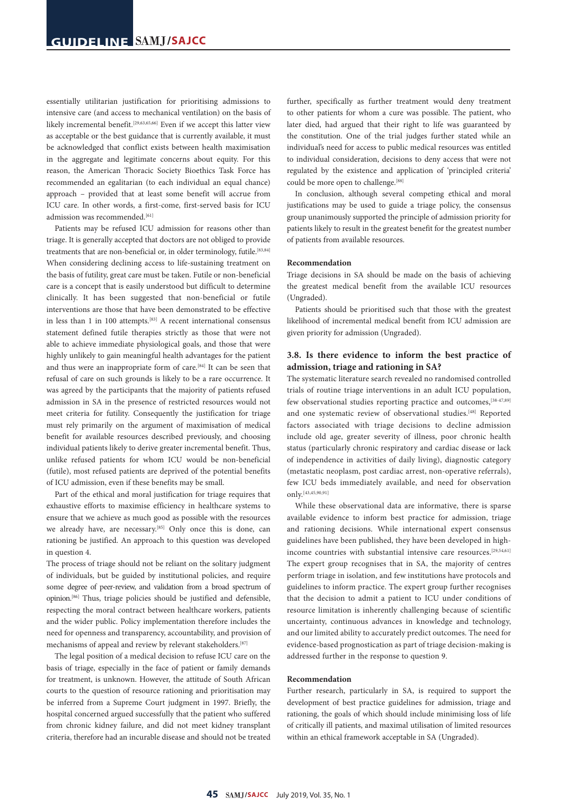essentially utilitarian justification for prioritising admissions to intensive care (and access to mechanical ventilation) on the basis of likely incremental benefit.<sup>[29,63,65,66]</sup> Even if we accept this latter view as acceptable or the best guidance that is currently available, it must be acknowledged that conflict exists between health maximisation in the aggregate and legitimate concerns about equity. For this reason, the American Thoracic Society Bioethics Task Force has recommended an egalitarian (to each individual an equal chance) approach – provided that at least some benefit will accrue from ICU care. In other words, a first-come, first-served basis for ICU admission was recommended.<sup>[61]</sup>

Patients may be refused ICU admission for reasons other than triage. It is generally accepted that doctors are not obliged to provide treatments that are non-beneficial or, in older terminology, futile.<sup>[83,84]</sup> When considering declining access to life-sustaining treatment on the basis of futility, great care must be taken. Futile or non-beneficial care is a concept that is easily understood but difficult to determine clinically. It has been suggested that non-beneficial or futile interventions are those that have been demonstrated to be effective in less than 1 in 100 attempts.[83] A recent international consensus statement defined futile therapies strictly as those that were not able to achieve immediate physiological goals, and those that were highly unlikely to gain meaningful health advantages for the patient and thus were an inappropriate form of care.[84] It can be seen that refusal of care on such grounds is likely to be a rare occurrence. It was agreed by the participants that the majority of patients refused admission in SA in the presence of restricted resources would not meet criteria for futility. Consequently the justification for triage must rely primarily on the argument of maximisation of medical benefit for available resources described previously, and choosing individual patients likely to derive greater incremental benefit. Thus, unlike refused patients for whom ICU would be non-beneficial (futile), most refused patients are deprived of the potential benefits of ICU admission, even if these benefits may be small.

Part of the ethical and moral justification for triage requires that exhaustive efforts to maximise efficiency in healthcare systems to ensure that we achieve as much good as possible with the resources we already have, are necessary.<sup>[85]</sup> Only once this is done, can rationing be justified. An approach to this question was developed in question 4.

The process of triage should not be reliant on the solitary judgment of individuals, but be guided by institutional policies, and require some degree of peer-review, and validation from a broad spectrum of opinion.[86] Thus, triage policies should be justified and defensible, respecting the moral contract between healthcare workers, patients and the wider public. Policy implementation therefore includes the need for openness and transparency, accountability, and provision of mechanisms of appeal and review by relevant stakeholders.[87]

The legal position of a medical decision to refuse ICU care on the basis of triage, especially in the face of patient or family demands for treatment, is unknown. However, the attitude of South African courts to the question of resource rationing and prioritisation may be inferred from a Supreme Court judgment in 1997. Briefly, the hospital concerned argued successfully that the patient who suffered from chronic kidney failure, and did not meet kidney transplant criteria, therefore had an incurable disease and should not be treated

further, specifically as further treatment would deny treatment to other patients for whom a cure was possible. The patient, who later died, had argued that their right to life was guaranteed by the constitution. One of the trial judges further stated while an individual's need for access to public medical resources was entitled to individual consideration, decisions to deny access that were not regulated by the existence and application of 'principled criteria' could be more open to challenge.[88]

In conclusion, although several competing ethical and moral justifications may be used to guide a triage policy, the consensus group unanimously supported the principle of admission priority for patients likely to result in the greatest benefit for the greatest number of patients from available resources.

## **Recommendation**

Triage decisions in SA should be made on the basis of achieving the greatest medical benefit from the available ICU resources (Ungraded).

Patients should be prioritised such that those with the greatest likelihood of incremental medical benefit from ICU admission are given priority for admission (Ungraded).

## **3.8. Is there evidence to inform the best practice of admission, triage and rationing in SA?**

The systematic literature search revealed no randomised controlled trials of routine triage interventions in an adult ICU population, few observational studies reporting practice and outcomes, [38-47,89] and one systematic review of observational studies.<sup>[48]</sup> Reported factors associated with triage decisions to decline admission include old age, greater severity of illness, poor chronic health status (particularly chronic respiratory and cardiac disease or lack of independence in activities of daily living), diagnostic category (metastatic neoplasm, post cardiac arrest, non-operative referrals), few ICU beds immediately available, and need for observation only.[43,45,90,91]

While these observational data are informative, there is sparse available evidence to inform best practice for admission, triage and rationing decisions. While international expert consensus guidelines have been published, they have been developed in highincome countries with substantial intensive care resources.[29,54,61] The expert group recognises that in SA, the majority of centres perform triage in isolation, and few institutions have protocols and guidelines to inform practice. The expert group further recognises that the decision to admit a patient to ICU under conditions of resource limitation is inherently challenging because of scientific uncertainty, continuous advances in knowledge and technology, and our limited ability to accurately predict outcomes. The need for evidence-based prognostication as part of triage decision-making is addressed further in the response to question 9.

## **Recommendation**

Further research, particularly in SA, is required to support the development of best practice guidelines for admission, triage and rationing, the goals of which should include minimising loss of life of critically ill patients, and maximal utilisation of limited resources within an ethical framework acceptable in SA (Ungraded).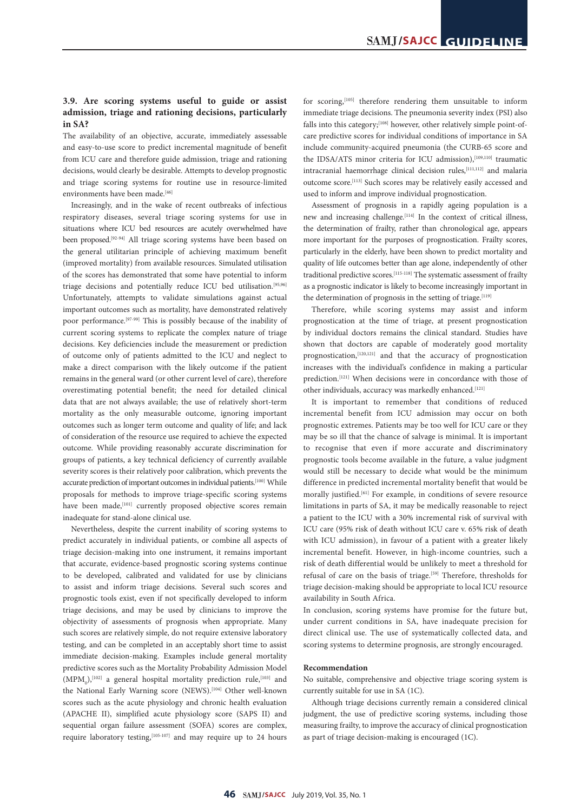## **3.9. Are scoring systems useful to guide or assist admission, triage and rationing decisions, particularly in SA?**

The availability of an objective, accurate, immediately assessable and easy-to-use score to predict incremental magnitude of benefit from ICU care and therefore guide admission, triage and rationing decisions, would clearly be desirable. Attempts to develop prognostic and triage scoring systems for routine use in resource-limited environments have been made.<sup>[46]</sup>

Increasingly, and in the wake of recent outbreaks of infectious respiratory diseases, several triage scoring systems for use in situations where ICU bed resources are acutely overwhelmed have been proposed.[92-94] All triage scoring systems have been based on the general utilitarian principle of achieving maximum benefit (improved mortality) from available resources. Simulated utilisation of the scores has demonstrated that some have potential to inform triage decisions and potentially reduce ICU bed utilisation.[95,96] Unfortunately, attempts to validate simulations against actual important outcomes such as mortality, have demonstrated relatively poor performance.[97-99] This is possibly because of the inability of current scoring systems to replicate the complex nature of triage decisions. Key deficiencies include the measurement or prediction of outcome only of patients admitted to the ICU and neglect to make a direct comparison with the likely outcome if the patient remains in the general ward (or other current level of care), therefore overestimating potential benefit; the need for detailed clinical data that are not always available; the use of relatively short-term mortality as the only measurable outcome, ignoring important outcomes such as longer term outcome and quality of life; and lack of consideration of the resource use required to achieve the expected outcome. While providing reasonably accurate discrimination for groups of patients, a key technical deficiency of currently available severity scores is their relatively poor calibration, which prevents the accurate prediction of important outcomes in individual patients.<sup>[100]</sup> While proposals for methods to improve triage-specific scoring systems have been made,<sup>[101]</sup> currently proposed objective scores remain inadequate for stand-alone clinical use.

Nevertheless, despite the current inability of scoring systems to predict accurately in individual patients, or combine all aspects of triage decision-making into one instrument, it remains important that accurate, evidence-based prognostic scoring systems continue to be developed, calibrated and validated for use by clinicians to assist and inform triage decisions. Several such scores and prognostic tools exist, even if not specifically developed to inform triage decisions, and may be used by clinicians to improve the objectivity of assessments of prognosis when appropriate. Many such scores are relatively simple, do not require extensive laboratory testing, and can be completed in an acceptably short time to assist immediate decision-making. Examples include general mortality predictive scores such as the Mortality Probability Admission Model  $(MPM_0)$ ,<sup>[102]</sup> a general hospital mortality prediction rule,<sup>[103]</sup> and the National Early Warning score (NEWS).<sup>[104]</sup> Other well-known scores such as the acute physiology and chronic health evaluation (APACHE II), simplified acute physiology score (SAPS II) and sequential organ failure assessment (SOFA) scores are complex, require laboratory testing,  $[105-107]$  and may require up to 24 hours

for scoring,[105] therefore rendering them unsuitable to inform immediate triage decisions. The pneumonia severity index (PSI) also falls into this category;<sup>[108]</sup> however, other relatively simple point-ofcare predictive scores for individual conditions of importance in SA include community-acquired pneumonia (the CURB-65 score and the IDSA/ATS minor criteria for ICU admission),<sup>[109,110]</sup> traumatic intracranial haemorrhage clinical decision rules,[111,112] and malaria outcome score.[113] Such scores may be relatively easily accessed and used to inform and improve individual prognostication.

Assessment of prognosis in a rapidly ageing population is a new and increasing challenge.<sup>[114]</sup> In the context of critical illness, the determination of frailty, rather than chronological age, appears more important for the purposes of prognostication. Frailty scores, particularly in the elderly, have been shown to predict mortality and quality of life outcomes better than age alone, independently of other traditional predictive scores.[115-118] The systematic assessment of frailty as a prognostic indicator is likely to become increasingly important in the determination of prognosis in the setting of triage.<sup>[119]</sup>

Therefore, while scoring systems may assist and inform prognostication at the time of triage, at present prognostication by individual doctors remains the clinical standard. Studies have shown that doctors are capable of moderately good mortality prognostication,<sup>[120,121]</sup> and that the accuracy of prognostication increases with the individual's confidence in making a particular prediction.[121] When decisions were in concordance with those of other individuals, accuracy was markedly enhanced.<sup>[121]</sup>

It is important to remember that conditions of reduced incremental benefit from ICU admission may occur on both prognostic extremes. Patients may be too well for ICU care or they may be so ill that the chance of salvage is minimal. It is important to recognise that even if more accurate and discriminatory prognostic tools become available in the future, a value judgment would still be necessary to decide what would be the minimum difference in predicted incremental mortality benefit that would be morally justified.<sup>[61]</sup> For example, in conditions of severe resource limitations in parts of SA, it may be medically reasonable to reject a patient to the ICU with a 30% incremental risk of survival with ICU care (95% risk of death without ICU care v. 65% risk of death with ICU admission), in favour of a patient with a greater likely incremental benefit. However, in high-income countries, such a risk of death differential would be unlikely to meet a threshold for refusal of care on the basis of triage.<sup>[59]</sup> Therefore, thresholds for triage decision-making should be appropriate to local ICU resource availability in South Africa.

In conclusion, scoring systems have promise for the future but, under current conditions in SA, have inadequate precision for direct clinical use. The use of systematically collected data, and scoring systems to determine prognosis, are strongly encouraged.

## **Recommendation**

No suitable, comprehensive and objective triage scoring system is currently suitable for use in SA (1C).

Although triage decisions currently remain a considered clinical judgment, the use of predictive scoring systems, including those measuring frailty, to improve the accuracy of clinical prognostication as part of triage decision-making is encouraged (1C).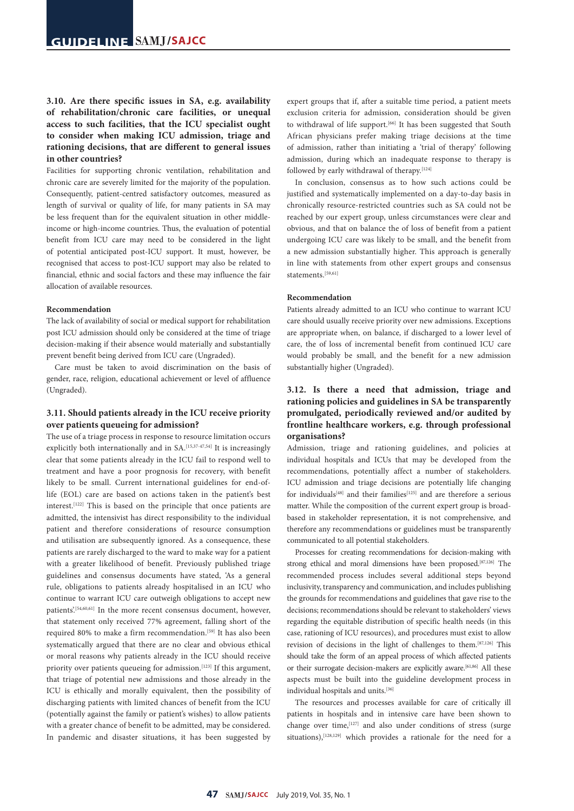# **3.10. Are there specific issues in SA, e.g. availability of rehabilitation/chronic care facilities, or unequal access to such facilities, that the ICU specialist ought to consider when making ICU admission, triage and rationing decisions, that are different to general issues in other countries?**

Facilities for supporting chronic ventilation, rehabilitation and chronic care are severely limited for the majority of the population. Consequently, patient-centred satisfactory outcomes, measured as length of survival or quality of life, for many patients in SA may be less frequent than for the equivalent situation in other middleincome or high-income countries. Thus, the evaluation of potential benefit from ICU care may need to be considered in the light of potential anticipated post-ICU support. It must, however, be recognised that access to post-ICU support may also be related to financial, ethnic and social factors and these may influence the fair allocation of available resources.

## **Recommendation**

The lack of availability of social or medical support for rehabilitation post ICU admission should only be considered at the time of triage decision-making if their absence would materially and substantially prevent benefit being derived from ICU care (Ungraded).

Care must be taken to avoid discrimination on the basis of gender, race, religion, educational achievement or level of affluence (Ungraded).

# **3.11. Should patients already in the ICU receive priority over patients queueing for admission?**

The use of a triage process in response to resource limitation occurs explicitly both internationally and in SA.<sup>[15,37-47,54]</sup> It is increasingly clear that some patients already in the ICU fail to respond well to treatment and have a poor prognosis for recovery, with benefit likely to be small. Current international guidelines for end-oflife (EOL) care are based on actions taken in the patient's best interest.<sup>[122]</sup> This is based on the principle that once patients are admitted, the intensivist has direct responsibility to the individual patient and therefore considerations of resource consumption and utilisation are subsequently ignored. As a consequence, these patients are rarely discharged to the ward to make way for a patient with a greater likelihood of benefit. Previously published triage guidelines and consensus documents have stated, 'As a general rule, obligations to patients already hospitalised in an ICU who continue to warrant ICU care outweigh obligations to accept new patients'.<sup>[54,60,61]</sup> In the more recent consensus document, however, that statement only received 77% agreement, falling short of the required 80% to make a firm recommendation.<sup>[59]</sup> It has also been systematically argued that there are no clear and obvious ethical or moral reasons why patients already in the ICU should receive priority over patients queueing for admission.<sup>[123]</sup> If this argument, that triage of potential new admissions and those already in the ICU is ethically and morally equivalent, then the possibility of discharging patients with limited chances of benefit from the ICU (potentially against the family or patient's wishes) to allow patients with a greater chance of benefit to be admitted, may be considered. In pandemic and disaster situations, it has been suggested by

expert groups that if, after a suitable time period, a patient meets exclusion criteria for admission, consideration should be given to withdrawal of life support.<sup>[66]</sup> It has been suggested that South African physicians prefer making triage decisions at the time of admission, rather than initiating a 'trial of therapy' following admission, during which an inadequate response to therapy is followed by early withdrawal of therapy.<sup>[124]</sup>

In conclusion, consensus as to how such actions could be justified and systematically implemented on a day-to-day basis in chronically resource-restricted countries such as SA could not be reached by our expert group, unless circumstances were clear and obvious, and that on balance the of loss of benefit from a patient undergoing ICU care was likely to be small, and the benefit from a new admission substantially higher. This approach is generally in line with statements from other expert groups and consensus statements.[59,61]

#### **Recommendation**

Patients already admitted to an ICU who continue to warrant ICU care should usually receive priority over new admissions. Exceptions are appropriate when, on balance, if discharged to a lower level of care, the of loss of incremental benefit from continued ICU care would probably be small, and the benefit for a new admission substantially higher (Ungraded).

# **3.12. Is there a need that admission, triage and rationing policies and guidelines in SA be transparently promulgated, periodically reviewed and/or audited by frontline healthcare workers, e.g. through professional organisations?**

Admission, triage and rationing guidelines, and policies at individual hospitals and ICUs that may be developed from the recommendations, potentially affect a number of stakeholders. ICU admission and triage decisions are potentially life changing for individuals<sup>[48]</sup> and their families<sup>[125]</sup> and are therefore a serious matter. While the composition of the current expert group is broadbased in stakeholder representation, it is not comprehensive, and therefore any recommendations or guidelines must be transparently communicated to all potential stakeholders.

Processes for creating recommendations for decision-making with strong ethical and moral dimensions have been proposed.<sup>[87,126]</sup> The recommended process includes several additional steps beyond inclusivity, transparency and communication, and includes publishing the grounds for recommendations and guidelines that gave rise to the decisions; recommendations should be relevant to stakeholders' views regarding the equitable distribution of specific health needs (in this case, rationing of ICU resources), and procedures must exist to allow revision of decisions in the light of challenges to them.[87,126] This should take the form of an appeal process of which affected patients or their surrogate decision-makers are explicitly aware.<sup>[61,86]</sup> All these aspects must be built into the guideline development process in individual hospitals and units.[36]

The resources and processes available for care of critically ill patients in hospitals and in intensive care have been shown to change over time,<sup>[127]</sup> and also under conditions of stress (surge situations), $[128,129]$  which provides a rationale for the need for a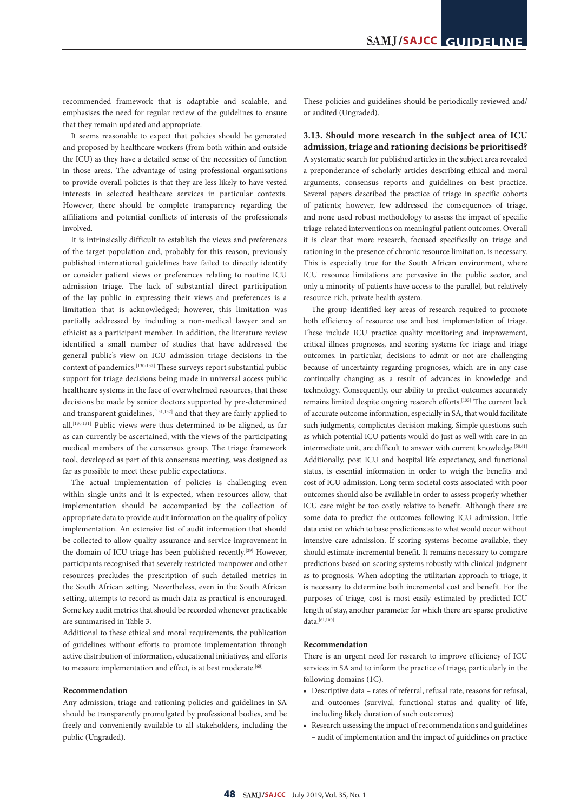recommended framework that is adaptable and scalable, and emphasises the need for regular review of the guidelines to ensure that they remain updated and appropriate.

It seems reasonable to expect that policies should be generated and proposed by healthcare workers (from both within and outside the ICU) as they have a detailed sense of the necessities of function in those areas. The advantage of using professional organisations to provide overall policies is that they are less likely to have vested interests in selected healthcare services in particular contexts. However, there should be complete transparency regarding the affiliations and potential conflicts of interests of the professionals involved.

It is intrinsically difficult to establish the views and preferences of the target population and, probably for this reason, previously published international guidelines have failed to directly identify or consider patient views or preferences relating to routine ICU admission triage. The lack of substantial direct participation of the lay public in expressing their views and preferences is a limitation that is acknowledged; however, this limitation was partially addressed by including a non-medical lawyer and an ethicist as a participant member. In addition, the literature review identified a small number of studies that have addressed the general public's view on ICU admission triage decisions in the context of pandemics.<sup>[130-132]</sup> These surveys report substantial public support for triage decisions being made in universal access public healthcare systems in the face of overwhelmed resources, that these decisions be made by senior doctors supported by pre-determined and transparent guidelines, [131,132] and that they are fairly applied to all.<sup>[130,131]</sup> Public views were thus determined to be aligned, as far as can currently be ascertained, with the views of the participating medical members of the consensus group. The triage framework tool, developed as part of this consensus meeting, was designed as far as possible to meet these public expectations.

The actual implementation of policies is challenging even within single units and it is expected, when resources allow, that implementation should be accompanied by the collection of appropriate data to provide audit information on the quality of policy implementation. An extensive list of audit information that should be collected to allow quality assurance and service improvement in the domain of ICU triage has been published recently.<sup>[29]</sup> However, participants recognised that severely restricted manpower and other resources precludes the prescription of such detailed metrics in the South African setting. Nevertheless, even in the South African setting, attempts to record as much data as practical is encouraged. Some key audit metrics that should be recorded whenever practicable are summarised in Table 3.

Additional to these ethical and moral requirements, the publication of guidelines without efforts to promote implementation through active distribution of information, educational initiatives, and efforts to measure implementation and effect, is at best moderate.<sup>[68]</sup>

## **Recommendation**

Any admission, triage and rationing policies and guidelines in SA should be transparently promulgated by professional bodies, and be freely and conveniently available to all stakeholders, including the public (Ungraded).

These policies and guidelines should be periodically reviewed and/ or audited (Ungraded).

**3.13. Should more research in the subject area of ICU admission, triage and rationing decisions be prioritised?** A systematic search for published articles in the subject area revealed a preponderance of scholarly articles describing ethical and moral arguments, consensus reports and guidelines on best practice. Several papers described the practice of triage in specific cohorts of patients; however, few addressed the consequences of triage, and none used robust methodology to assess the impact of specific triage-related interventions on meaningful patient outcomes. Overall it is clear that more research, focused specifically on triage and rationing in the presence of chronic resource limitation, is necessary. This is especially true for the South African environment, where ICU resource limitations are pervasive in the public sector, and only a minority of patients have access to the parallel, but relatively resource-rich, private health system.

The group identified key areas of research required to promote both efficiency of resource use and best implementation of triage. These include ICU practice quality monitoring and improvement, critical illness prognoses, and scoring systems for triage and triage outcomes. In particular, decisions to admit or not are challenging because of uncertainty regarding prognoses, which are in any case continually changing as a result of advances in knowledge and technology. Consequently, our ability to predict outcomes accurately remains limited despite ongoing research efforts.[133] The current lack of accurate outcome information, especially in SA, that would facilitate such judgments, complicates decision-making. Simple questions such as which potential ICU patients would do just as well with care in an intermediate unit, are difficult to answer with current knowledge.<sup>[58,61]</sup> Additionally, post ICU and hospital life expectancy, and functional status, is essential information in order to weigh the benefits and cost of ICU admission. Long-term societal costs associated with poor outcomes should also be available in order to assess properly whether ICU care might be too costly relative to benefit. Although there are some data to predict the outcomes following ICU admission, little data exist on which to base predictions as to what would occur without intensive care admission. If scoring systems become available, they should estimate incremental benefit. It remains necessary to compare predictions based on scoring systems robustly with clinical judgment as to prognosis. When adopting the utilitarian approach to triage, it is necessary to determine both incremental cost and benefit. For the purposes of triage, cost is most easily estimated by predicted ICU length of stay, another parameter for which there are sparse predictive data.[61,100]

#### **Recommendation**

There is an urgent need for research to improve efficiency of ICU services in SA and to inform the practice of triage, particularly in the following domains (1C).

- Descriptive data rates of referral, refusal rate, reasons for refusal, and outcomes (survival, functional status and quality of life, including likely duration of such outcomes)
- Research assessing the impact of recommendations and guidelines – audit of implementation and the impact of guidelines on practice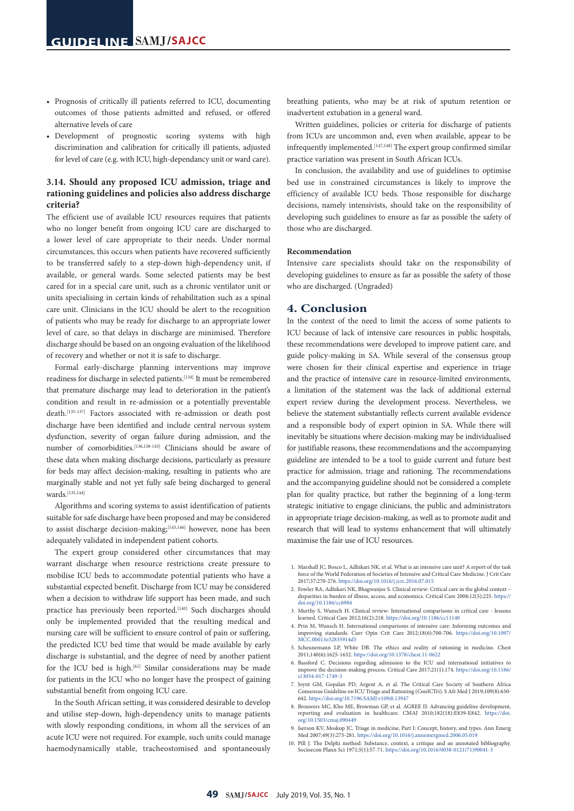- Prognosis of critically ill patients referred to ICU, documenting outcomes of those patients admitted and refused, or offered alternative levels of care
- Development of prognostic scoring systems with high discrimination and calibration for critically ill patients, adjusted for level of care (e.g. with ICU, high-dependancy unit or ward care).

# **3.14. Should any proposed ICU admission, triage and rationing guidelines and policies also address discharge criteria?**

The efficient use of available ICU resources requires that patients who no longer benefit from ongoing ICU care are discharged to a lower level of care appropriate to their needs. Under normal circumstances, this occurs when patients have recovered sufficiently to be transferred safely to a step-down high-dependency unit, if available, or general wards. Some selected patients may be best cared for in a special care unit, such as a chronic ventilator unit or units specialising in certain kinds of rehabilitation such as a spinal care unit. Clinicians in the ICU should be alert to the recognition of patients who may be ready for discharge to an appropriate lower level of care, so that delays in discharge are minimised. Therefore discharge should be based on an ongoing evaluation of the likelihood of recovery and whether or not it is safe to discharge.

Formal early-discharge planning interventions may improve readiness for discharge in selected patients.[134] It must be remembered that premature discharge may lead to deterioration in the patient's condition and result in re-admission or a potentially preventable death.[135-137] Factors associated with re-admission or death post discharge have been identified and include central nervous system dysfunction, severity of organ failure during admission, and the number of comorbidities.[136,138-143] Clinicians should be aware of these data when making discharge decisions, particularly as pressure for beds may affect decision-making, resulting in patients who are marginally stable and not yet fully safe being discharged to general wards.<sup>[135,144]</sup>

Algorithms and scoring systems to assist identification of patients suitable for safe discharge have been proposed and may be considered to assist discharge decision-making;<sup>[145,146]</sup> however, none has been adequately validated in independent patient cohorts.

The expert group considered other circumstances that may warrant discharge when resource restrictions create pressure to mobilise ICU beds to accommodate potential patients who have a substantial expected benefit. Discharge from ICU may be considered when a decision to withdraw life support has been made, and such practice has previously been reported.<sup>[140]</sup> Such discharges should only be implemented provided that the resulting medical and nursing care will be sufficient to ensure control of pain or suffering, the predicted ICU bed time that would be made available by early discharge is substantial, and the degree of need by another patient for the ICU bed is high.<sup>[61]</sup> Similar considerations may be made for patients in the ICU who no longer have the prospect of gaining substantial benefit from ongoing ICU care.

In the South African setting, it was considered desirable to develop and utilise step-down, high-dependency units to manage patients with slowly responding conditions, in whom all the services of an acute ICU were not required. For example, such units could manage haemodynamically stable, tracheostomised and spontaneously breathing patients, who may be at risk of sputum retention or inadvertent extubation in a general ward.

Written guidelines, policies or criteria for discharge of patients from ICUs are uncommon and, even when available, appear to be infrequently implemented.<sup>[147,148]</sup> The expert group confirmed similar practice variation was present in South African ICUs.

In conclusion, the availability and use of guidelines to optimise bed use in constrained circumstances is likely to improve the efficiency of available ICU beds. Those responsible for discharge decisions, namely intensivists, should take on the responsibility of developing such guidelines to ensure as far as possible the safety of those who are discharged.

## **Recommendation**

Intensive care specialists should take on the responsibility of developing guidelines to ensure as far as possible the safety of those who are discharged. (Ungraded)

## **4. Conclusion**

In the context of the need to limit the access of some patients to ICU because of lack of intensive care resources in public hospitals, these recommendations were developed to improve patient care, and guide policy-making in SA. While several of the consensus group were chosen for their clinical expertise and experience in triage and the practice of intensive care in resource-limited environments, a limitation of the statement was the lack of additional external expert review during the development process. Nevertheless, we believe the statement substantially reflects current available evidence and a responsible body of expert opinion in SA. While there will inevitably be situations where decision-making may be individualised for justifiable reasons, these recommendations and the accompanying guideline are intended to be a tool to guide current and future best practice for admission, triage and rationing. The recommendations and the accompanying guideline should not be considered a complete plan for quality practice, but rather the beginning of a long-term strategic initiative to engage clinicians, the public and administrators in appropriate triage decision-making, as well as to promote audit and research that will lead to systems enhancement that will ultimately maximise the fair use of ICU resources.

- 1. Marshall JC, Bosco L, Adhikari NK, et al. What is an intensive care unit? A report of the task force of the World Federation of Societies of Intensive and Critical Care Medicine. J Crit Care 2017;37:270-276. [https://doi.org/10.1016/j.jcrc.2016.07.015](http://dx.doi.org/10.1016/j.jcrc.2016.07.015)
- 2. Fowler RA, Adhikari NK, Bhagwanjee S. Clinical review: Critical care in the global context disparities in burden of illness, access, and economics. Critical Care 2008;12(5):225. [https://](http://dx.doi.org/10.1186/cc6984) [doi.org/10.1186/cc6984](http://dx.doi.org/10.1186/cc6984)
- 3. Murthy S, Wunsch H. Clinical review: International comparisons in critical care lessons learned. Critical Care 2012;16(2):218. [https://doi.org/10.1186/cc11140](http://dx.doi.org/10.1186/cc11140)
- 4. Prin M, Wunsch H. International comparisons of intensive care: Informing outcomes and improving standards. Curr Opin Crit Care 2012;18(6):700-706. [https://doi.org/10.1097/](http://dx.doi.org/10.1097/MCC.0b013e32835914d5) [MCC.0b013e32835914d5](http://dx.doi.org/10.1097/MCC.0b013e32835914d5)
- 5. Scheunemann LP, White DB. The ethics and reality of rationing in medicine. Chest 2011;140(6):1625-1632. [https://doi.org/10.1378/chest.11-0622](http://dx.doi.org/10.1378/chest.11-0622)
- 6. Bassford C. Decisions regarding admission to the ICU and international initiatives to improve the decision-making process. Critical Care 2017;21(1):174. [https://doi.org/10.1186/](http://dx.doi.org/10.1186/s13054-017-1749-3) [s13054-017-1749-3](http://dx.doi.org/10.1186/s13054-017-1749-3)
- 7. Joynt GM, Gopalan PD, Argent A, et al. The Critical Care Society of Southern Africa Consensus Guideline on ICU Triage and Rationing (ConICTri). S Afr Med J 2019;109(8):630- 642.<https://doi.org/10.7196.SAMJ.v109i8.13947>
- 8. Brouwers MC, Kho ME, Browman GP, et al. AGREE II: Advancing guideline development, reporting and evaluation in healthcare. CMAJ 2010;182(18):E839-E842. [https://doi.](http://dx.doi.org/10.1503/cmaj.090449) [org/10.1503/cmaj.090449](http://dx.doi.org/10.1503/cmaj.090449)
- 9. Iserson KV, Moskop JC. Triage in medicine, Part I: Concept, history, and types. Ann Emerg Med 2007;49(3):275-281. [https://doi.org/10.1016/j.annemergmed.2006.05.019](http://dx.doi.org/10.1016/j.annemergmed.2006.05.019)
- 10. Pill J. The Delphi method: Substance, context, a critique and an annotated bibliography. Socioecon Plann Sci 1971;5(1):57-71. [https://doi.org/10.1016/0038-0121\(71\)90041-3](http://dx.doi.org/10.1016/0038-0121(71)90041-3)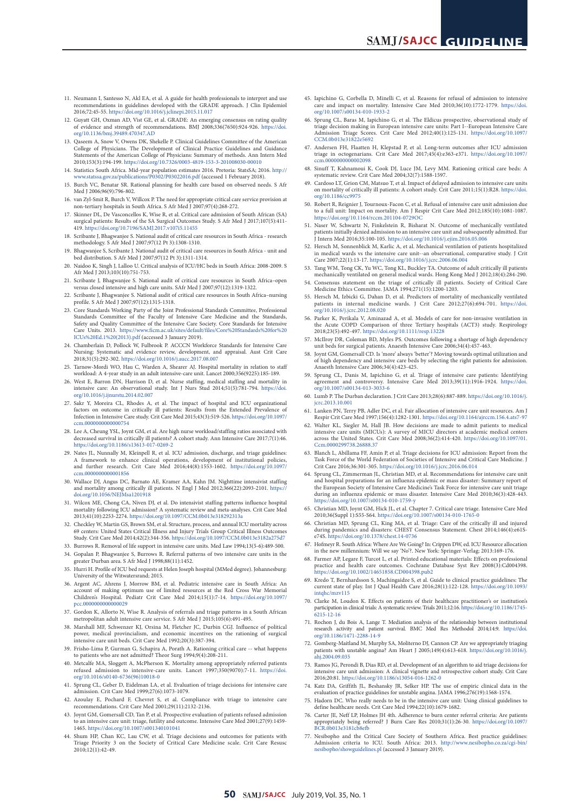- 11. Neumann I, Santesso N, Akl EA, et al. A guide for health professionals to interpret and use recommendations in guidelines developed with the GRADE approach. J Clin Epidemiol 2016;72:45-55. [https://doi.org/10.1016/j.jclinepi.2015.11.017](http://dx.doi.org/10.1016/j.jclinepi.2015.11.017)
- 12. Guyatt GH, Oxman AD, Vist GE, et al. GRADE: An emerging consensus on rating quality of evidence and strength of recommendations. BMJ 2008;336(7650):924-926. [https://doi.](http://dx.doi.org/10.1136/bmj.39489.470347.AD) [org/10.1136/bmj.39489.470347.AD](http://dx.doi.org/10.1136/bmj.39489.470347.AD)
- 13. Qaseem A, Snow V, Owens DK, Shekelle P. Clinical Guidelines Committee of the American College of Physicians. The Development of Clinical Practice Guidelines and Guidan Statements of the American College of Physicians: Summary of methods. Ann Intern Med 2010;153(3):194-199. [https://doi.org/10.7326/0003-4819-153-3-201008030-00010](http://dx.doi.org/10.7326/0003-4819-153-3-201008030-00010)
- 14. Statistics South Africa. Mid-year population estimates 2016. Pretoria: StatsSA; 2016. [http://](http://www.statssa.gov.za/publications/P0302/P03022016.pdf) [www.statssa.gov.za/publications/P0302/P03022016.pdf](http://www.statssa.gov.za/publications/P0302/P03022016.pdf) (accessed 1 February 2018).
- 15. Burch VC, Benatar SR. Rational planning for health care based on observed needs. S Afr Med J 2006;96(9):796-802
- 16. van Zyl-Smit R, Burch V, Willcox P. The need for appropriate critical care service provision at non-tertiary hospitals in South Africa. S Afr Med J 2007;97(4):268-272.
- 17. Skinner DL, De Vasconcellos K, Wise R, et al. Critical care admission of South African (SA) surgical patients: Results of the SA Surgical Outcomes Study. S Afr Med J 2017;107(5):411- 419. [https://doi.org/10.7196/SAMJ.2017.v107i5.11455](http://dx.doi.org/10.7196/SAMJ.2017.v107i5.11455)
- 18. Scribante J, Bhagwanjee S. National audit of critical care resources in South Africa research methodology. S Afr Med J 2007;97(12 Pt 3):1308-1310.
- 19. Bhagwanjee S, Scribante J. National audit of critical care resources in South Africa unit and bed distribution. S Afr Med J 2007;97(12 Pt 3):1311-1314.
- 20. Naidoo K, Singh J, Lalloo U. Critical analysis of ICU/HC beds in South Africa: 2008-2009. S Afr Med J 2013;103(10):751-753.
- 21. Scribante J, Bhagwanjee S. National audit of critical care resources in South Africa–open versus closed intensive and high care units. SAfr Med J 2007;97(12):1319-1322.
- 22. Scribante J, Bhagwanjee S. National audit of critical care resources in South Africa–nursing profile. S Afr Med J 2007;97(12):1315-1318.
- 23. Core Standards Working Party of the Joint Professional Standards Committee, Professional Standards Committee of the Faculty of Intensive Care Medicine and the Standards, Safety and Quality Committee of the Intensive Care Society. Core Standards for Intensive Care Units. 2013. [https://www.ficm.ac.uk/sites/default/files/Core%20Standards%20for%20](https://www.ficm.ac.uk/sites/default/files/Core Standards for ICUs Ed.1 (2013).pdf) [ICUs%20Ed.1%20\(2013\).pdf](https://www.ficm.ac.uk/sites/default/files/Core Standards for ICUs Ed.1 (2013).pdf) (accessed 3 January 2019).
- 24. Chamberlain D, Pollock W, Fulbrook P. ACCCN Workforce Standards for Intensive Care Nursing: Systematic and evidence review, development, and appraisal. Aust Crit Care 2018;31(5):292-302. [https://doi.org/10.1016/j.aucc.2017.08.007](http://dx.doi.org/10.1016/j.aucc.2017.08.007)
- 25. Tarnow-Mordi WO, Hau C, Warden A, Shearer AJ. Hospital mortality in relation to staff workload: A 4-year study in an adult intensive-care unit. Lancet 2000;356(9225):185-189. 26. West E, Barron DN, Harrison D, et al. Nurse staffing, medical staffing and mortality in
- care: An observational study. Int J Nurs Stud 2014;51(5):781-794. [https://doi.](http://dx.doi.org/10.1016/j.ijnurstu.2014.02.007) [org/10.1016/j.ijnurstu.2014.02.007](http://dx.doi.org/10.1016/j.ijnurstu.2014.02.007)
- 27. Sakr Y, Moreira CL, Rhodes A, et al. The impact of hospital and ICU organizational factors on outcome in critically ill patients: Results from the Extended Prevalence of Infection in Intensive Care study. Crit Care Med 2015;43(3):519-526. [https://doi.org/10.1097/](http://dx.doi.org/10.1097/ccm.0000000000000754) [ccm.0000000000000754](http://dx.doi.org/10.1097/ccm.0000000000000754)
- 28. Lee A, Cheung YSL, Joynt GM, et al. Are high nurse workload/staffing ratios associated with decreased survival in critically ill patients? A cohort study. Ann Intensive Care 2017;7(1):46. [https://doi.org/10.1186/s13613-017-0269-2](http://dx.doi.org/10.1186/s13613-017-0269-2)
- 29. Nates JL, Nunnally M, Kleinpell R, et al. ICU admission, discharge, and triage guidelines: A framework to enhance clinical operations, development of institutional policies, and further research. Crit Care Med 2016;44(8):1553-1602. [https://doi.org/10.1097/](http://dx.doi.org/10.1097/ccm.0000000000001856) [ccm.0000000000001856](http://dx.doi.org/10.1097/ccm.0000000000001856)
- 30. Wallace DJ, Angus DC, Barnato AE, Kramer AA, Kahn JM. Nighttime intensivist staffing and mortality among critically ill patients. N Engl J Med 2012;366(22):2093-2101. [https://](http://dx.doi.org/10.1056/NEJMsa1201918) [doi.org/10.1056/NEJMsa1201918](http://dx.doi.org/10.1056/NEJMsa1201918)
- 31. Wilcox ME, Chong CA, Niven DJ, et al. Do intensivist staffing patterns influence hospital mortality following ICU admission? A systematic review and meta-analyses. Crit Care Med 2013;41(10):2253-2274. [https://doi.org/10.1097/CCM.0b013e318292313a](http://dx.doi.org/10.1097/CCM.0b013e318292313a)
- 32. Checkley W, Martin GS, Brown SM, et al. Structure, process, and annual ICU mortality across 69 centers: United States Critical Illness and Injury Trials Group Critical Illness Outcomes Study. Crit Care Med 2014;42(2):344-356. [https://doi.org/10.1097/CCM.0b013e3182a275d7](http://dx.doi.org/10.1097/CCM.0b013e3182a275d7)
- 33. Burrows R. Removal of life support in intensive care units. Med Law 1994;13(5-6):489-500. 34. Gopalan P, Bhagwanjee S, Burrows R. Referral patterns of two intensive care units in the
- greater Durban area. S Afr Med J 1998;88(11):1452. 35. Hurri H. Profile of ICU bed requests at Helen Joseph hospital (MMed degree). Johannesburg: University of the Witwatersrand; 2015.
- 36. Argent AC, Ahrens J, Morrow BM, et al. Pediatric intensive care in South Africa: An account of making optimum use of limited resources at the Red Cross War Memorial Children's Hospital. Pediatr Crit Care Med 2014;15(1):7-14. [https://doi.org/10.1097/](http://dx.doi.org/10.1097/pcc.0000000000000029) [pcc.0000000000000029](http://dx.doi.org/10.1097/pcc.0000000000000029)
- 37. Gordon K, Allorto N, Wise R. Analysis of referrals and triage patterns in a South African metropolitan adult intensive care service. S Afr Med J 2015;105(6):491-495.
- 38. Marshall MF, Schwenzer KJ, Orsina M, Fletcher JC, Durbin CGJ. Influence of political power, medical provincialism, and economic incentives on the rationing of surgical intensive care unit beds. Crit Care Med 1992;20(3):387-394.
- 39. Frisho-Lima P, Gurman G, Schapira A, Porath A. Rationing critical care -- what happens to patients who are not admitted? Theor Surg 1994;9(4):208-211.
- 40. Metcalfe MA, Sloggett A, McPherson K. Mortality among appropriately referred patients refused admission to intensive-care units. Lancet 1997;350(9070):7-11. [https://doi.](http://dx.doi.org/10.1016/s0140-6736(96)10018-0) [org/10.1016/s0140-6736\(96\)10018-0](http://dx.doi.org/10.1016/s0140-6736(96)10018-0)
- 41. Sprung CL, Geber D, Eidelman LA, et al. Evaluation of triage decisions for intensive care admission. Crit Care Med 1999;27(6):1073-1079.
- 42. Azoulay E, Pochard F, Chevret S, et al. Compliance with triage to intensive care recommendations. Crit Care Med 2001;29(11):2132-2136. 43. Joynt GM, Gomersall CD, Tan P, et al. Prospective evaluation of patients refused admission
- to an intensive care unit: triage, futility and outcome. Intensive Care Med 2001;27(9):1459- 1465. [https://doi.org/10.1007/s001340101041](http://dx.doi.org/10.1007/s001340101041)
- 44. Shum HP, Chan KC, Lau CW, et al. Triage decisions and outcomes for patients with Triage Priority 3 on the Society of Critical Care Medicine scale. Crit Care Resusc 2010;12(1):42-49.
- 45. Iapichino G, Corbella D, Minelli C, et al. Reasons for refusal of admission to intensive care and impact on mortality. Intensive Care Med 2010;36(10):1772-1779. [https://doi.](http://dx.doi.org/10.1007/s00134-010-1933-2) [org/10.1007/s00134-010-1933-2](http://dx.doi.org/10.1007/s00134-010-1933-2)
- 46. Sprung CL, Baras M, Iapichino G, et al. The Eldicus prospective, observational study of triage decision making in European intensive care units: Part I--European Intensive Care Admission Triage Scores. Crit Care Med 2012;40(1):125-131. [https://doi.org/10.1097/](http://dx.doi.org/10.1097/CCM.0b013e31822e5692) [CCM.0b013e31822e5692](http://dx.doi.org/10.1097/CCM.0b013e31822e5692)
- 47. Andersen FH, Flaatten H, Klepstad P, et al. Long-term outcomes after ICU admission triage in octogenarians. Crit Care Med 2017;45(4):e363-e371. [https://doi.org/10.1097/](http://dx.doi.org/10.1097/ccm.0000000000002098) [ccm.0000000000002098](http://dx.doi.org/10.1097/ccm.0000000000002098)
- 48. Sinuff T, Kahnamoui K, Cook DJ, Luce JM, Levy MM. Rationing critical care beds: A systematic review. Crit Care Med 2004;32(7):1588-1597.
- 49. Cardoso LT, Grion CM, Matsuo T, et al. Impact of delayed admission to intensive care units on mortality of critically ill patients: A cohort study. Crit Care 2011;15(1):R28. [https://doi.](http://dx.doi.org/10.1186/cc9975) [org/10.1186/cc9975](http://dx.doi.org/10.1186/cc9975)
- 50. Robert R, Reignier J, Tournoux-Facon C, et al. Refusal of intensive care unit admission due to a full unit: Impact on mortality. Am J Respir Crit Care Med 2012;185(10):1081-1087. [https://doi.org/10.1164/rccm.201104-0729OC](http://dx.doi.org/10.1164/rccm.201104-0729OC)
- 51. Naser W, Schwartz N, Finkelstein R, Bisharat N. Outcome of mechanically ventilated patients initially denied admission to an intensive care unit and subsequently admitted. Eur J Intern Med 2016;35:100-105. [https://doi.org/10.1016/j.ejim.2016.05.006](http://dx.doi.org/10.1016/j.ejim.2016.05.006)
- 52. Hersch M, Sonnenblick M, Karlic A, et al. Mechanical ventilation of patients hospitalized in medical wards vs the intensive care unit--an observational, comparative study. J Crit Care 2007;22(1):13-17. [https://doi.org/10.1016/j.jcrc.2006.06.004](http://dx.doi.org/10.1016/j.jcrc.2006.06.004)
- 53. Tang WM, Tong CK, Yu WC, Tong KL, Buckley TA. Outcome of adult critically ill patients mechanically ventilated on general medical wards. Hong Kong Med J 2012;18(4):284-290.
- 54. Consensus statement on the triage of critically ill patients. Society of Critical Care Medicine Ethics Committee. JAMA 1994;271(15):1200-1203.
- 55. Hersch M, Izbicki G, Dahan D, et al. Predictors of mortality of mechanically ventilated patients in internal medicine wards. J Crit Care 2012;27(6):694-701. [https://doi.](http://dx.doi.org/10.1016/j.jcrc.2012.08.020) [org/10.1016/j.jcrc.2012.08.020](http://dx.doi.org/10.1016/j.jcrc.2012.08.020)
- 56. Parker K, Perikala V, Aminazad A, et al. Models of care for non-invasive ventilation in the Acute COPD Comparison of three Tertiary hospitals (ACT3) study. Respirology 2018;23(5):492-497. [https://doi.org/10.1111/resp.13228](http://dx.doi.org/10.1111/resp.13228)
- 57. McIlroy DR, Coleman BD, Myles PS. Outcomes following a shortage of high dependency unit beds for surgical patients. Anaesth Intensive Care 2006;34(4):457-463.
- 58. Joynt GM, Gomersall CD. Is 'more' always 'better'? Moving towards optimal utilization and of high dependency and intensive care beds by selecting the right patients for admission. Anaesth Intensive Care 2006;34(4):423-425.
- 59. Sprung CL, Danis M, Iapichino G, et al. Triage of intensive care patients: Identifying agreement and controversy. Intensive Care Med 2013;39(11):1916-1924. [https://doi.](http://dx.doi.org/10.1007/s00134-013-3033-6) [org/10.1007/s00134-013-3033-6](http://dx.doi.org/10.1007/s00134-013-3033-6)
- 60. Lumb P. The Durban declaration. J Crit Care 2013;28(6):887-889. [https://doi.org/10.1016/j.](http://dx.doi.org/10.1016/j.jcrc.2013.10.001) [jcrc.2013.10.001](http://dx.doi.org/10.1016/j.jcrc.2013.10.001)
- 61. Lanken PN, Terry PB, Adler DC, et al. Fair allocation of intensive care unit resources. Am J Respir Crit Care Med 1997;156(4):1282-1301. [https://doi.org/10.1164/ajrccm.156.4.ats7-97](http://dx.doi.org/10.1164/ajrccm.156.4.ats7-97)
- 62. Walter KL, Siegler M, Hall JB. How decisions are made to admit patients to medical care units (MICUs): A survey of MICU directors at acade across the United States. Crit Care Med 2008;36(2):414-420. [https://doi.org/10.1097/01.](http://dx.doi.org/10.1097/01.Ccm.0000299738.26888.37) [Ccm.0000299738.26888.37](http://dx.doi.org/10.1097/01.Ccm.0000299738.26888.37)
- 63. Blanch L, Abillama FF, Amin P, et al. Triage decisions for ICU admission: Report from the Task Force of the World Federation of Societies of Intensive and Critical Care Medicine. J Crit Care 2016;36:301-305. [https://doi.org/10.1016/j.jcrc.2016.06.014](http://dx.doi.org/10.1016/j.jcrc.2016.06.014)
- 64. Sprung CL, Zimmerman JL, Christian MD, et al. Recommendations for intensive care unit and hospital preparations for an influenza epidemic or mass disaster: Summary report of the European Society of Intensive Care Medicine's Task Force for intensive care unit triage an influenza epidemic or mass disaster. Intensive Care Med 2010;36(3):428-443.<br>[https://doi.org/10.1007/s00134-010-1759-y](http://dx.doi.org/10.1007/s00134-010-1759-y)
- 65. Christian MD, Joynt GM, Hick JL, et al. Chapter 7. Critical care triage. Intensive Care Med 2010;36(Suppl 1):S55-S64. [https://doi.org/10.1007/s00134-010-1765-0](http://dx.doi.org/10.1007/s00134-010-1765-0)
- 66. Christian MD, Sprung CL, King MA, et al. Triage: Care of the critically ill and injured during pandemics and disasters: CHEST Consensus Statement. Chest 2014;146(4):e61Se74S. [https://doi.org/10.1378/chest.14-0736](http://dx.doi.org/10.1378/chest.14-0736)
- 67. Hofmeyr R. South Africa: Where Are We Going? In: Crippen DW, ed. ICU Resource allocation in the new millennium: Will we say 'No'?. New York: Springer-Verlag; 2013:169-176.
- 68. Farmer AP, Legare F, Turcot L, et al. Printed educational materials: Effects on professional practice and health care outcomes. Cochrane Database Syst Rev 2008(3):Cd004398. [https://doi.org/10.1002/14651858.CD004398.pub2](http://dx.doi.org/10.1002/14651858.CD004398.pub2)
- 69. Kredo T, Bernhardsson S, Machingaidze S, et al. Guide to clinical practice guidelines: The current state of play. Int J Qual Health Care 2016;28(1):122-128. [https://doi.org/10.1093/](http://dx.doi.org/10.1093/intqhc/mzv115) intohc/mzv115
- 70. Clarke M, Loudon K. Effects on patients of their healthcare practitioner's or institution's participation in clinical trials: A systematic review. Trials 2011;12:16. [https://doi.org/10.1186/1745-](http://dx.doi.org/10.1186/1745-6215-12-16)  $6215 - 12 - 16$
- 71. Rochon J, du Bois A, Lange T. Mediation analysis of the relationship between institutional research activity and patient survival. BMC Med Res Methodol 2014;14:9. [https://doi.](http://dx.doi.org/10.1186/1471-2288-14-9) [org/10.1186/1471-2288-14-9](http://dx.doi.org/10.1186/1471-2288-14-9)
- 72. Gomberg-Maitland M, Murphy SA, Moliterno DJ, Cannon CP. Are we appropriately triaging patients with unstable angina? Am Heart J 2005;149(4):613-618. [https://doi.org/10.1016/j.](http://dx.doi.org/10.1016/j.ahj.2004.09.035) [ahj.2004.09.035](http://dx.doi.org/10.1016/j.ahj.2004.09.035)
- 73. Ramos JG, Perondi B, Dias RD, et al. Development of an algorithm to aid triage decisions for intensive care unit admission: A clinical vignette and retrospective cohort study. Crit Care 2016;20:81. [https://doi.org/10.1186/s13054-016-1262-0](http://dx.doi.org/10.1186/s13054-016-1262-0)
- 74. Katz DA, Griffith JL, Beshansky JR, Selker HP. The use of empiric clinical data in the evaluation of practice guidelines for unstable angina. JAMA 1996;276(19):1568-1574.
- 75. Hadorn DC. Who really needs to be in the intensive care unit: Using clinical guidelines to define healthcare needs. Crit Care Med 1994;22(10):1679-1682.
- 76. Carter JE, Neff LP, Holmes JH 4th. Adherence to burn center referral criteria: Are patients appropriately being referred? J Burn Care Res 2010;31(1):26-30. [https://doi.org/10.1097/](http://dx.doi.org/10.1097/BCR.0b013e3181cb8efb) [BCR.0b013e3181cb8efb](http://dx.doi.org/10.1097/BCR.0b013e3181cb8efb)
- 77. Nesibopho and the Critical Care Society of Southern Africa. Best practice guidelines: Admission criteria to ICU. South Africa: 2013. [http://www.nesibopho.co.za/cgi-bin/](http://www.nesibopho.co.za/cgi-bin/nesibopho/showguidelines.pl) [nesibopho/showguidelines.pl](http://www.nesibopho.co.za/cgi-bin/nesibopho/showguidelines.pl) (accessed 3 January 2019).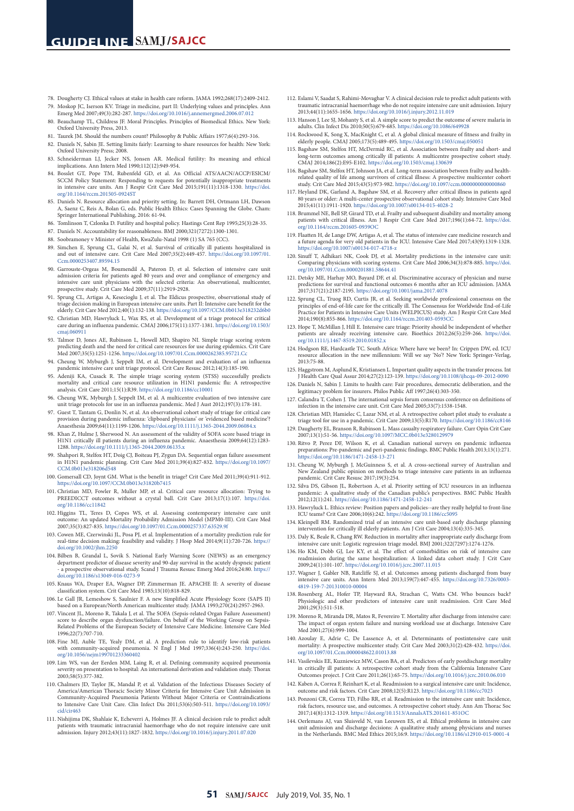- 78. Dougherty CJ. Ethical values at stake in health care reform. JAMA 1992;268(17):2409-2412.
- 79. Moskop JC, Iserson KV. Triage in medicine, part II: Underlying values and principles. Ann Emerg Med 2007;49(3):282-287. [https://doi.org/10.1016/j.annemergmed.2006.07.012](http://dx.doi.org/10.1016/j.annemergmed.2006.07.012)
- 80. Beauchamp TL, Childress JF. Moral Principles. Principles of Biomedical Ethics. New York: Oxford University Press, 2013.
- 81. Taurek JM. Should the numbers count? Philosophy & Public Affairs 1977;6(4):293-316.
- 82. Daniels N, Sabin JE. Setting limits fairly: Learning to share resources for health: New York: Oxford University Press; 2008.
- 83. Schneiderman LJ, Jecker NS, Jonsen AR. Medical futility: Its meaning and ethical implications. Ann Intern Med 1990;112(12):949-954. 84. Bosslet GT, Pope TM, Rubenfeld GD, et al. An Official ATS/AACN/ACCP/ESICM/
- SCCM Policy Statement: Responding to requests for potentially inappropriate treatments in intensive care units. Am J Respir Crit Care Med 2015;191(11):1318-1330. [https://doi.](http://dx.doi.org/10.1164/rccm.201505-0924ST) [org/10.1164/rccm.201505-0924ST](http://dx.doi.org/10.1164/rccm.201505-0924ST)
- 85. Daniels N. Resource allocation and priority setting. In: Barrett DH, Ortmann LH, Dawson A, Saenz C, Reis A, Bolan G, eds. Public Health Ethics: Cases Spanning the Globe. Cham: Springer International Publishing, 2016: 61-94.
- 86. Tomlinson T, Czlonka D. Futility and hospital policy. Hastings Cent Rep 1995;25(3):28-35.
- 87. Daniels N. Accountability for reasonableness. BMJ 2000;321(7272):1300-1301. 88. Soobramoney v Minister of Health, KwaZulu-Natal 1998 (1) SA 765 (CC).
- 89. Simchen E, Sprung CL, Galai N, et al. Survival of critically ill patients hospitalized in and out of intensive care. Crit Care Med 2007;35(2):449-457. [https://doi.org/10.1097/01.](http://dx.doi.org/10.1097/01.Ccm.0000253407.89594.15) [Ccm.0000253407.89594.15](http://dx.doi.org/10.1097/01.Ccm.0000253407.89594.15)
- 90. Garrouste-Orgeas M, Boumendil A, Pateron D, et al. Selection of intensive care unit admission criteria for patients aged 80 years and over and compliance of emergency and animalism. intensive care unit physicians with the selected criteria: An observational, multicenter, prospective study. Crit Care Med 2009;37(11):2919-2928.
- 91. Sprung CL, Artigas A, Kesecioglu J, et al. The Eldicus prospective, observational study of triage decision making in European intensive care units. Part II: Intensive care benefit for the elderly. Crit Care Med 2012;40(1):132-138. [https://doi.org/10.1097/CCM.0b013e318232d6b0](http://dx.doi.org/10.1097/CCM.0b013e318232d6b0)
- 92. Christian MD, Hawryluck L, Wax RS, et al. Development of a triage protocol for critical care during an influenza pandemic. CMAJ 2006;175(11):1377-1381. [https://doi.org/10.1503/](http://dx.doi.org/10.1503/cmaj.060911) [cmaj.060911](http://dx.doi.org/10.1503/cmaj.060911)
- 93. Talmor D, Jones AE, Rubinson L, Howell MD, Shapiro NI. Simple triage scoring system predicting death and the need for critical care resources for use during epidemics. Crit Care Med 2007;35(5):1251-1256. [https://doi.org/10.1097/01.Ccm.0000262385.95721.Cc](http://dx.doi.org/10.1097/01.Ccm.0000262385.95721.Cc)
- 94. Cheung W, Myburgh J, Seppelt IM, et al. Development and evaluation of an influenza pandemic intensive care unit triage protocol. Crit Care Resusc 2012;14(3):185-190.
- 95. Adeniji KA, Cusack R. The simple triage scoring system (STSS) successfully predicts mortality and critical care resource utilization in H1N1 pandemic flu: A retrospective analysis. Crit Care 2011;15(1):R39. [https://doi.org/10.1186/cc10001](http://dx.doi.org/10.1186/cc10001)
- 96. Cheung WK, Myburgh J, Seppelt IM, et al. A multicentre evaluation of two intensive care unit triage protocols for use in an influenza pandemic. Med J Aust 2012;197(3):178-181.
- 97. Guest T, Tantam G, Donlin N, et al. An observational cohort study of triage for critical care provision during pandemic influenza: 'clipboard physicians' or 'evidenced based medicine'? Anaesthesia 2009;64(11):1199-1206. [https://doi.org/10.1111/j.1365-2044.2009.06084.x](http://dx.doi.org/10.1111/j.1365-2044.2009.06084.x)
- 98. Khan Z, Hulme J, Sherwood N. An assessment of the validity of SOFA score based triage in H1N1 critically ill patients during an influenza pandemic. Anaesthesia 2009;64(12):1283- 1288. [https://doi.org/10.1111/j.1365-2044.2009.06135.x](http://dx.doi.org/10.1111/j.1365-2044.2009.06135.x)
- 99. Shahpori R, Stelfox HT, Doig CJ, Boiteau PJ, Zygun DA. Sequential organ failure assessment in H1N1 pandemic planning. Crit Care Med 2011;39(4):827-832. [https://doi.org/10.1097/](http://dx.doi.org/10.1097/CCM.0b013e318206d548) [CCM.0b013e318206d548](http://dx.doi.org/10.1097/CCM.0b013e318206d548)
- 100. Gomersall CD, Joynt GM. What is the benefit in triage? Crit Care Med 2011;39(4):911-912. [https://doi.org/10.1097/CCM.0b013e31820b7415](http://dx.doi.org/10.1097/CCM.0b013e31820b7415)
- 101. Christian MD, Fowler R, Muller MP, et al. Critical care resource allocation: Trying to PREEDICCT outcomes without a crystal ball. Crit Care 2013;17(1):107. [https://doi.](http://dx.doi.org/10.1186/cc11842) [org/10.1186/cc11842](http://dx.doi.org/10.1186/cc11842)
- 102. Higgins TL, Teres D, Copes WS, et al. Assessing contemporary intensive care unit outcome: An updated Mortality Probability Admission Model (MPM0-III). Crit Care Med 2007;35(3):827-835. [https://doi.org/10.1097/01.Ccm.0000257337.63529.9f](http://dx.doi.org/10.1097/01.Ccm.0000257337.63529.9f)
- 103. Cowen ME, Czerwinski JL, Posa PJ, et al. Implementation of a mortality prediction rule for real-time decision making: feasibility and validity. J Hosp Med 2014;9(11):720-726. [https://](http://dx.doi.org/10.1002/jhm.2250) [doi.org/10.1002/jhm.2250](http://dx.doi.org/10.1002/jhm.2250)
- 104. Bilben B, Grandal L, Sovik S. National Early Warning Score (NEWS) as an emergency department predictor of disease severity and 90-day survival in the acutely dyspneic patient - a prospective observational study. Scand J Trauma Resusc Emerg Med 2016;24:80. [https://](http://dx.doi.org/10.1186/s13049-016-0273-9) [doi.org/10.1186/s13049-016-0273-9](http://dx.doi.org/10.1186/s13049-016-0273-9)
- 105. Knaus WA, Draper EA, Wagner DP, Zimmerman JE. APACHE II: A severity of disease classification system. Crit Care Med 1985;13(10):818-829.
- 106. Le Gall JR, Lemeshow S, Saulnier F. A new Simplified Acute Physiology Score (SAPS II) based on a European/North American multicenter study. JAMA 1993;270(24):2957-2963.
- 107. Vincent JL, Moreno R, Takala J, et al. The SOFA (Sepsis-related Organ Failure Assessment) score to describe organ dysfunction/failure. On behalf of the Working Group on Sepsis-Related Problems of the European Society of Intensive Care Medicine. Intensive Care Med 1996;22(7):707-710.
- 108. Fine MJ, Auble TE, Yealy DM, et al. A prediction rule to identify low-risk patients with community-acquired pneumonia. N Engl J Med 1997;336(4):243-250. [https://doi.](http://dx.doi.org/10.1056/nejm199701233360402) [org/10.1056/nejm199701233360402](http://dx.doi.org/10.1056/nejm199701233360402)
- 109. Lim WS, van der Eerden MM, Laing R, et al. Defining community acquired pneumonia severity on presentation to hospital: An international derivation and validation study. Thorax 2003;58(5):377-382.
- 110. Chalmers JD, Taylor JK, Mandal P, et al. Validation of the Infectious Diseases Society of America/American Thoracic Society Minor Criteria for Intensive Care Unit Admission in Community-Acquired Pneumonia Patients Without Major Criteria or Contraindications to Intensive Care Unit Care. Clin Infect Dis 2011;53(6):503-511. [https://doi.org/10.1093/](http://dx.doi.org/10.1093/cid/cir463) [cid/cir463](http://dx.doi.org/10.1093/cid/cir463)
- 111. Nishijima DK, Shahlaie K, Echeverri A, Holmes JF. A clinical decision rule to predict adult patients with traumatic intracranial haemorrhage who do not require intensive care unit admission. Injury 2012;43(11):1827-1832. [https://doi.org/10.1016/j.injury.2011.07.020](http://dx.doi.org/10.1016/j.injury.2011.07.020)
- 112. Eslami V, Saadat S, Rahimi-Movaghar V. A clinical decision rule to predict adult patients with traumatic intracranial haemorrhage who do not require intensive care unit admission. Injury 2013;44(11):1655-1656. [https://doi.org/10.1016/j.injury.2012.11.019](http://dx.doi.org/10.1016/j.injury.2012.11.019)
- 113. Hanson J, Lee SJ, Mohanty S, et al. A simple score to predict the outcome of severe malaria in adults. Clin Infect Dis 2010;50(5):679-685. [https://doi.org/10.1086/649928](http://dx.doi.org/10.1086/649928)
- 114. Rockwood K, Song X, MacKnight C, et al. A global clinical measure of fitness and frailty in elderly people. CMAJ 2005;173(5):489-495. [https://doi.org/10.1503/cmaj.050051](http://dx.doi.org/10.1503/cmaj.050051)
- 115. Bagshaw SM, Stelfox HT, McDermid RC, et al. Association between frailty and short- and long-term outcomes among critically ill patients: A multicentre prospective cohort study. CMAJ 2014;186(2):E95-E102. [https://doi.org/10.1503/cmaj.130639](http://dx.doi.org/10.1503/cmaj.130639)
- 116. Bagshaw SM, Stelfox HT, Johnson JA, et al. Long-term association between frailty and healthrelated quality of life among survivors of critical illness: A prospective multicenter cohort study. Crit Care Med 2015;43(5):973-982. [https://doi.org/10.1097/ccm.0000000000000860](http://dx.doi.org/10.1097/ccm.0000000000000860)
- 117. Heyland DK, Garland A, Bagshaw SM, et al. Recovery after critical illness in patients aged 80 years or older: A multi-center prospective observational cohort study. Intensive Care Med 2015;41(11):1911-1920. [https://doi.org/10.1007/s00134-015-4028-2](http://dx.doi.org/10.1007/s00134-015-4028-2)
- 118. Brummel NE, Bell SP, Girard TD, et al. Frailty and subsequent disability and mortality among patients with critical illness. Am J Respir Crit Care Med 2017;196(1):64-72. [https://doi.](http://dx.doi.org/10.1164/rccm.201605-0939OC) [org/10.1164/rccm.201605-0939OC](http://dx.doi.org/10.1164/rccm.201605-0939OC)
- 119. Flaatten H, de Lange DW, Artigas A, et al. The status of intensive care medicine research and a future agenda for very old patients in the ICU. Intensive Care Med 2017;43(9):1319-1328. [https://doi.org/10.1007/s00134-017-4718-z](http://dx.doi.org/10.1007/s00134-017-4718-z)
- 120. Sinuff T, Adhikari NK, Cook DJ, et al. Mortality predictions in the intensive care unit: Comparing physicians with scoring systems. Crit Care Med 2006;34(3):878-885. [https://doi.](http://dx.doi.org/10.1097/01.Ccm.0000201881.58644.41) [org/10.1097/01.Ccm.0000201881.58644.41](http://dx.doi.org/10.1097/01.Ccm.0000201881.58644.41)
- 121. Detsky ME, Harhay MO, Bayard DF, et al. Discriminative accuracy of physician and nurse predictions for survival and functional outcomes 6 months after an ICU admission. JAMA 2017;317(21):2187-2195. [https://doi.org/10.1001/jama.2017.4078](http://dx.doi.org/10.1001/jama.2017.4078)
- 122. Sprung CL, Truog RD, Curtis JR, et al. Seeking worldwide professional consensus on the principles of end-of-life care for the critically ill. The Consensus for Worldwide End-of-Life Practice for Patients in Intensive Care Units (WELPICUS) study. Am J Respir Crit Care Med 2014;190(8):855-866. [https://doi.org/10.1164/rccm.201403-0593CC](http://dx.doi.org/10.1164/rccm.201403-0593CC)
- 123. Hope T, McMillan J, Hill E. Intensive care triage: Priority should be independent of whether patients are already receiving intensive care. Bioethics 2012;26(5):259-266. [https://doi.](http://dx.doi.org/10.1111/j.1467-8519.2010.01852.x) [org/10.1111/j.1467-8519.2010.01852.x](http://dx.doi.org/10.1111/j.1467-8519.2010.01852.x)
- 124. Hodgson RE, Hardcastle TC. South Africa: Where have we been? In: Crippen DW, ed. ICU resource allocation in the new millennium: Will we say 'No'? New York: Springer-Verlag, 2013:75-88.
- 125. Haggstrom M, Asplund K, Kristiansen L. Important quality aspects in the transfer process. Int J Health Care Qual Assur 2014;27(2):123-139. [https://doi.org/10.1108/ijhcqa-09-2012-0090](http://dx.doi.org/10.1108/ijhcqa-09-2012-0090) 126. Daniels N, Sabin J. Limits to health care: Fair procedures, democratic deliberation, and the
- legitimacy problem for insurers. Philos Public Aff 1997;26(4):303-350.
- 127. Calandra T, Cohen J. The international sepsis forum consensus conference on definitions of infection in the intensive care unit. Crit Care Med 2005;33(7):1538-1548. 128. Christian MD, Hamielec C, Lazar NM, et al. A retrospective cohort pilot study to evaluate a
- triage tool for use in a pandemic. Crit Care 2009;13(5):R170. [https://doi.org/10.1186/cc8146](http://dx.doi.org/10.1186/cc8146)
- 129. Daugherty EL, Branson R, Rubinson L. Mass casualty respiratory failure. Curr Opin Crit Care 2007;13(1):51-56. [https://doi.org/10.1097/MCC.0b013e3280129979](http://dx.doi.org/10.1097/MCC.0b013e3280129979) 130. Ritvo P, Perez DF, Wilson K, et al. Canadian national surveys on pandemic influenza
- preparations: Pre-pandemic and peri-pandemic findings. BMC Public Health 2013;13(1):271. [https://doi.org/10.1186/1471-2458-13-271](http://dx.doi.org/10.1186/1471-2458-13-271) 131. Cheung W, Myburgh J, McGuinness S, et al. A cross-sectional survey of Australian and
- New Zealand public opinion on methods to triage intensive care patients in an influenza pandemic. [Crit Care Resusc](https://www.ncbi.nlm.nih.gov/pubmed/28866976) 2017;19(3):254.
- 132. Silva DS, Gibson JL, Robertson A, et al. Priority setting of ICU resources in an influenza pandemic: A qualitative study of the Canadian public's perspectives. BMC Public Health 2012;12(1):241. https://doi.org/10.1186
- 133. Hawryluck L. Ethics review: Position papers and policies--are they really helpful to front-line ICU teams? Crit Care 2006;10(6):242. [https://doi.org/10.1186/cc5095](http://dx.doi.org/10.1186/cc5095)
- 134. Kleinpell RM. Randomized trial of an intensive care unit-based early discharge planning ntervention for critically ill elderly patients. Am J Crit Care 2004;13(4):335-345
- 135. Daly K, Beale R, Chang RW. Reduction in mortality after inappropriate early discharge from intensive care unit: Logistic regression triage model. BMJ 2001;322(7297):1274-1276.
- 136. Ho KM, Dobb GJ, Lee KY, et al. The effect of comorbidities on risk of intensive care readmission during the same hospitalization: A linked data cohort study. J Crit Care 2009;24(1):101-107. [https://doi.org/10.1016/j.jcrc.2007.11.015](http://dx.doi.org/10.1016/j.jcrc.2007.11.015)
- 137. Wagner J, Gabler NB, Ratcliffe SJ, et al. Outcomes among patients discharged from busy intensive care units. Ann Intern Med 2013;159(7):447-455. [https://doi.org/10.7326/0003-](http://dx.doi.org/10.7326/0003-4819-159-7-201310010-00004) [4819-159-7-201310010-00004](http://dx.doi.org/10.7326/0003-4819-159-7-201310010-00004)
- 138. Rosenberg AL, Hofer TP, Hayward RA, Strachan C, Watts CM. Who bounces back? Physiologic and other predictors of intensive care unit readmission. Crit Care Med 2001;29(3):511-518.
- 139. Moreno R, Miranda DR, Matos R, Fevereiro T. Mortality after discharge from intensive care: The impact of organ system failure and nursing workload use at discharge. Intensive Care Med 2001;27(6):999-1004.
- 140. Azoulay E, Adrie C, De Lassence A, et al. Determinants of postintensive care unit mortality: A prospective multicenter study. Crit Care Med 2003;31(2):428-432. [https://doi.](http://dx.doi.org/10.1097/01.Ccm.0000048622.01013.88) [org/10.1097/01.Ccm.0000048622.01013.88](http://dx.doi.org/10.1097/01.Ccm.0000048622.01013.88)
- 141. Vasilevskis EE, Kuzniewicz MW, Cason BA, et al. Predictors of early postdischarge mortality in critically ill patients: A retrospective cohort study from the California Intensive Care Outcomes project. J Crit Care 2011;26(1):65-75. [https://doi.org/10.1016/j.jcrc.2010.06.010](http://dx.doi.org/10.1016/j.jcrc.2010.06.010)
- 142. Kaben A, Correa F, Reinhart K, et al. Readmission to a surgical intensive care unit: Incidence, outcome and risk factors. Crit Care 2008;12(5):R123. [https://doi.org/10.1186/cc7023](http://dx.doi.org/10.1186/cc7023)
- 143. Ponzoni CR, Correa TD, Filho RR, et al. Readmission to the intensive care unit: Incidence, risk factors, resource use, and outcomes. A retrospective cohort study. Ann Am Thorac Soc 2017;14(8):1312-1319. [https://doi.org/10.1513/AnnalsATS.201611-851OC](http://dx.doi.org/10.1513/AnnalsATS.201611-851OC)
- 144. Oerlemans AJ, van Sluisveld N, van Leeuwen ES, et al. Ethical problems in intensive care<br>unit admission and discharge decisions: A qualitative study among physicians and nurses<br>in the Netherlands. BMC Med Ethics 2015;